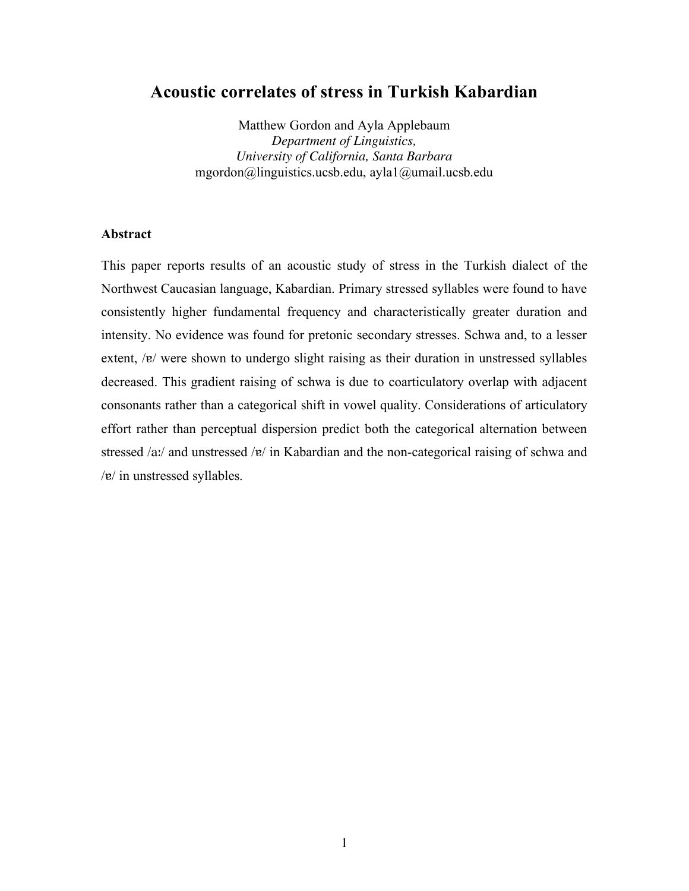# **Acoustic correlates of stress in Turkish Kabardian**

Matthew Gordon and Ayla Applebaum *Department of Linguistics, University of California, Santa Barbara* mgordon@linguistics.ucsb.edu, ayla1@umail.ucsb.edu

# **Abstract**

This paper reports results of an acoustic study of stress in the Turkish dialect of the Northwest Caucasian language, Kabardian. Primary stressed syllables were found to have consistently higher fundamental frequency and characteristically greater duration and intensity. No evidence was found for pretonic secondary stresses. Schwa and, to a lesser extent, / $e$ / were shown to undergo slight raising as their duration in unstressed syllables decreased. This gradient raising of schwa is due to coarticulatory overlap with adjacent consonants rather than a categorical shift in vowel quality. Considerations of articulatory effort rather than perceptual dispersion predict both the categorical alternation between stressed /a:/ and unstressed / $e$ / in Kabardian and the non-categorical raising of schwa and / $e$ / in unstressed syllables.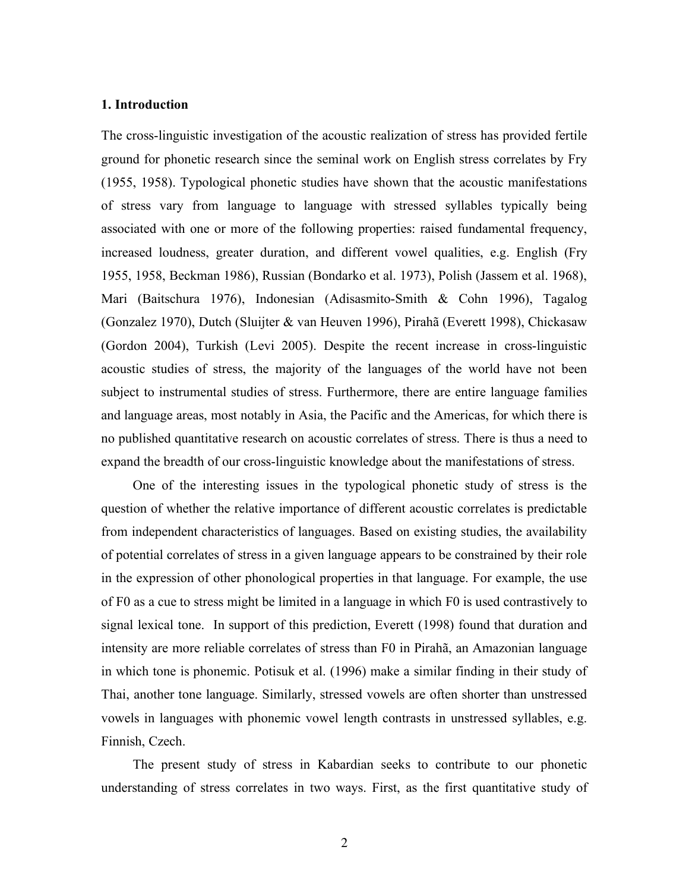#### **1. Introduction**

The cross-linguistic investigation of the acoustic realization of stress has provided fertile ground for phonetic research since the seminal work on English stress correlates by Fry (1955, 1958). Typological phonetic studies have shown that the acoustic manifestations of stress vary from language to language with stressed syllables typically being associated with one or more of the following properties: raised fundamental frequency, increased loudness, greater duration, and different vowel qualities, e.g. English (Fry 1955, 1958, Beckman 1986), Russian (Bondarko et al. 1973), Polish (Jassem et al. 1968), Mari (Baitschura 1976), Indonesian (Adisasmito-Smith & Cohn 1996), Tagalog (Gonzalez 1970), Dutch (Sluijter & van Heuven 1996), Pirahã (Everett 1998), Chickasaw (Gordon 2004), Turkish (Levi 2005). Despite the recent increase in cross-linguistic acoustic studies of stress, the majority of the languages of the world have not been subject to instrumental studies of stress. Furthermore, there are entire language families and language areas, most notably in Asia, the Pacific and the Americas, for which there is no published quantitative research on acoustic correlates of stress. There is thus a need to expand the breadth of our cross-linguistic knowledge about the manifestations of stress.

One of the interesting issues in the typological phonetic study of stress is the question of whether the relative importance of different acoustic correlates is predictable from independent characteristics of languages. Based on existing studies, the availability of potential correlates of stress in a given language appears to be constrained by their role in the expression of other phonological properties in that language. For example, the use of F0 as a cue to stress might be limited in a language in which F0 is used contrastively to signal lexical tone. In support of this prediction, Everett (1998) found that duration and intensity are more reliable correlates of stress than F0 in Pirahã, an Amazonian language in which tone is phonemic. Potisuk et al. (1996) make a similar finding in their study of Thai, another tone language. Similarly, stressed vowels are often shorter than unstressed vowels in languages with phonemic vowel length contrasts in unstressed syllables, e.g. Finnish, Czech.

The present study of stress in Kabardian seeks to contribute to our phonetic understanding of stress correlates in two ways. First, as the first quantitative study of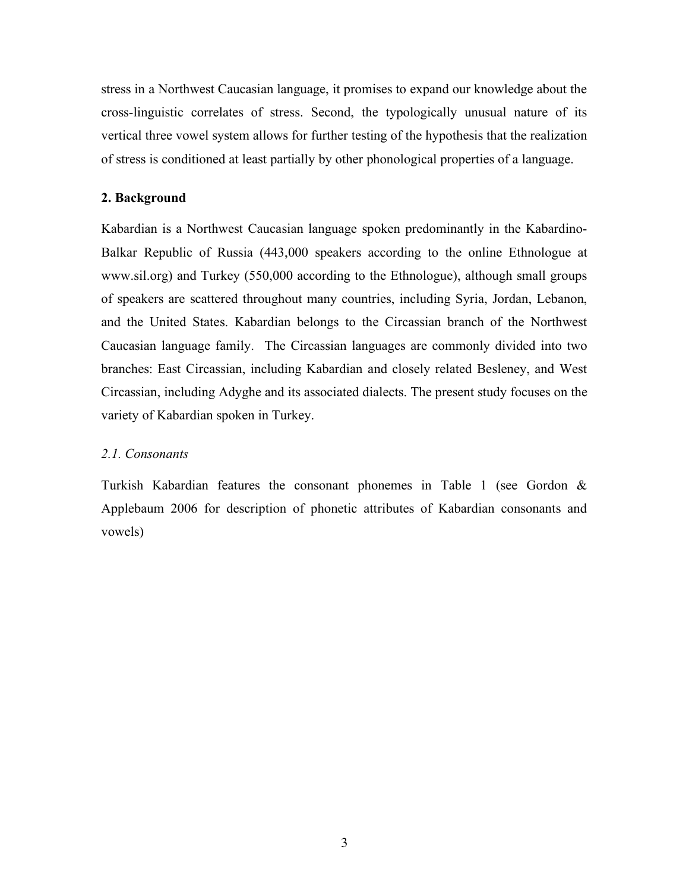stress in a Northwest Caucasian language, it promises to expand our knowledge about the cross-linguistic correlates of stress. Second, the typologically unusual nature of its vertical three vowel system allows for further testing of the hypothesis that the realization of stress is conditioned at least partially by other phonological properties of a language.

# **2. Background**

Kabardian is a Northwest Caucasian language spoken predominantly in the Kabardino-Balkar Republic of Russia (443,000 speakers according to the online Ethnologue at www.sil.org) and Turkey (550,000 according to the Ethnologue), although small groups of speakers are scattered throughout many countries, including Syria, Jordan, Lebanon, and the United States. Kabardian belongs to the Circassian branch of the Northwest Caucasian language family. The Circassian languages are commonly divided into two branches: East Circassian, including Kabardian and closely related Besleney, and West Circassian, including Adyghe and its associated dialects. The present study focuses on the variety of Kabardian spoken in Turkey.

# *2.1. Consonants*

Turkish Kabardian features the consonant phonemes in Table 1 (see Gordon & Applebaum 2006 for description of phonetic attributes of Kabardian consonants and vowels)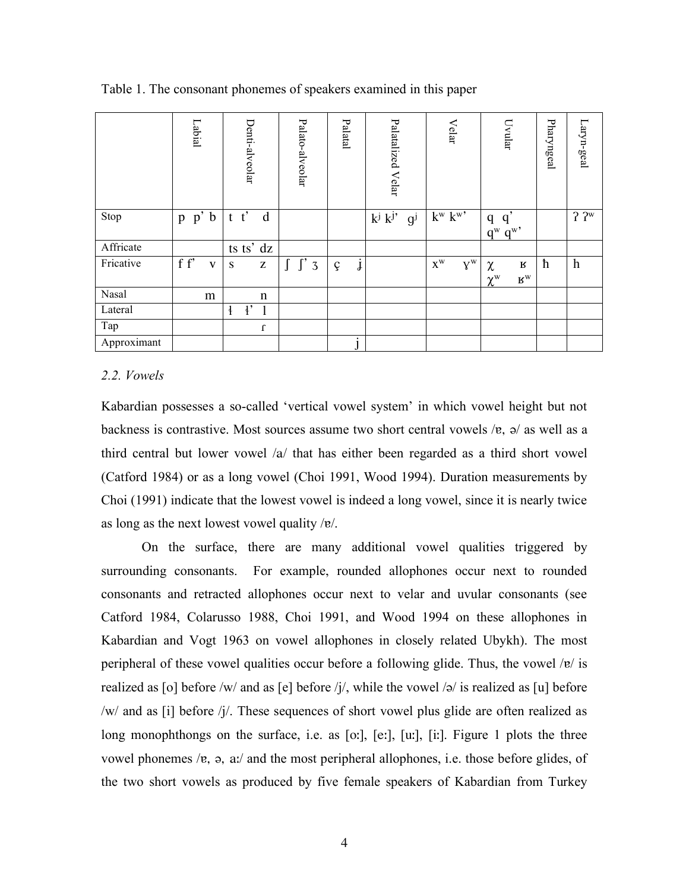|             | Labial                            | Denti-alveolar                     | Palato-alveolar | Palatal            | Palatalized Velar    | Velar                                         | Uvular                                                            | Pharyngeal | Laryn-geal                |
|-------------|-----------------------------------|------------------------------------|-----------------|--------------------|----------------------|-----------------------------------------------|-------------------------------------------------------------------|------------|---------------------------|
| Stop        | p'<br>$\mathbf b$<br>$\mathbf{p}$ | $t^{\prime}$<br>d<br>t             |                 |                    | $k^j k^j$<br>$g^{j}$ | $k^w k^w$                                     | $\mathbf{q}$<br>$\mathbf q$<br>$q^w$<br>$q^w$                     |            | $?$ ?                     |
| Affricate   |                                   | ts ts' dz                          |                 |                    |                      |                                               |                                                                   |            |                           |
| Fricative   | f f'<br>V                         | S<br>Z                             | 3               | $\dot{\bf j}$<br>ç |                      | $V^{\mathrm{w}}$<br>$\mathbf{X}^{\mathbf{W}}$ | $\, {\bf R}$<br>$\chi$<br>$\mathbf{R}_{\rm{m}}$<br>$\chi^{\rm w}$ | $\hbar$    | $\boldsymbol{\mathrm{h}}$ |
| Nasal       | m                                 | $\mathbf n$                        |                 |                    |                      |                                               |                                                                   |            |                           |
| Lateral     |                                   | $\mathbf{1}'$<br>$\mathbf{I}$<br>1 |                 |                    |                      |                                               |                                                                   |            |                           |
| Tap         |                                   | $\Gamma$                           |                 |                    |                      |                                               |                                                                   |            |                           |
| Approximant |                                   |                                    |                 | ٠<br>J             |                      |                                               |                                                                   |            |                           |

Table 1. The consonant phonemes of speakers examined in this paper

#### *2.2. Vowels*

Kabardian possesses a so-called 'vertical vowel system' in which vowel height but not backness is contrastive. Most sources assume two short central vowels  $/e$ ,  $\phi$  as well as a third central but lower vowel /a/ that has either been regarded as a third short vowel (Catford 1984) or as a long vowel (Choi 1991, Wood 1994). Duration measurements by Choi (1991) indicate that the lowest vowel is indeed a long vowel, since it is nearly twice as long as the next lowest vowel quality  $\frac{1}{e}$ .

On the surface, there are many additional vowel qualities triggered by surrounding consonants. For example, rounded allophones occur next to rounded consonants and retracted allophones occur next to velar and uvular consonants (see Catford 1984, Colarusso 1988, Choi 1991, and Wood 1994 on these allophones in Kabardian and Vogt 1963 on vowel allophones in closely related Ubykh). The most peripheral of these vowel qualities occur before a following glide. Thus, the vowel  $\frac{1}{e}$  is realized as [o] before /w/ and as [e] before /j/, while the vowel  $\sqrt{2}$  is realized as [u] before /w/ and as [i] before /j/. These sequences of short vowel plus glide are often realized as long monophthongs on the surface, i.e. as  $[\alpha]$ ,  $[\varepsilon]$ ,  $[\mu$ ;  $[\mu]$ ,  $[\mu]$ . Figure 1 plots the three vowel phonemes  $\ell$ ,  $\varphi$ ,  $\varphi$ ,  $\varphi$ , and the most peripheral allophones, i.e. those before glides, of the two short vowels as produced by five female speakers of Kabardian from Turkey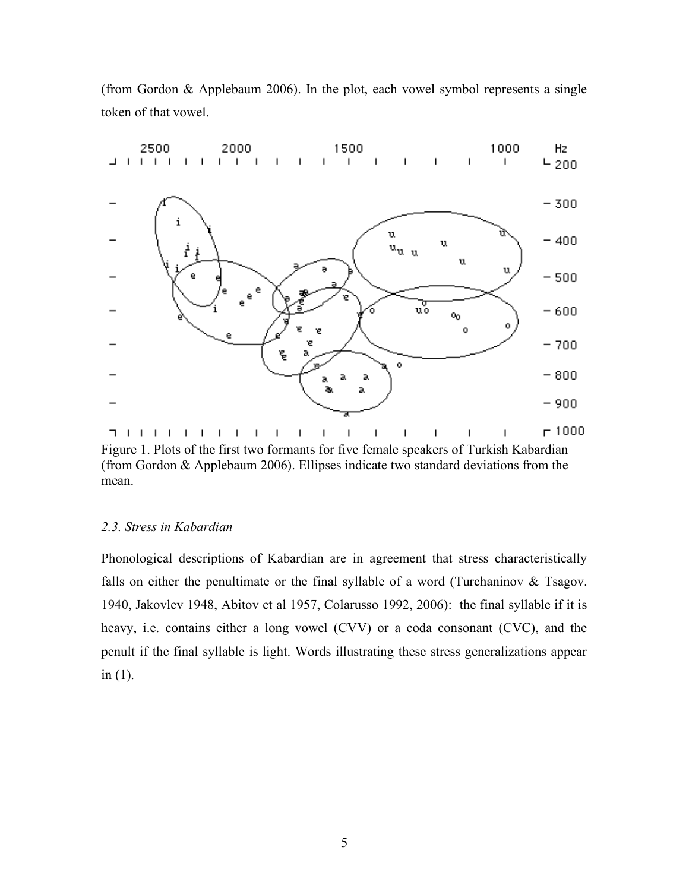(from Gordon & Applebaum 2006). In the plot, each vowel symbol represents a single token of that vowel.



 $-1000$  $\mathbf{I}$  $\mathsf I$  $\mathbf I$  $\overline{1}$  $\mathbf{I}$ L  $\mathbf{I}$ 1 1 1 1 1 1 1 1 1  $\mathbf{I}$  $\mathsf I$  $\mathsf I$ Figure 1. Plots of the first two formants for five female speakers of Turkish Kabardian (from Gordon & Applebaum 2006). Ellipses indicate two standard deviations from the mean.

## *2.3. Stress in Kabardian*

Phonological descriptions of Kabardian are in agreement that stress characteristically falls on either the penultimate or the final syllable of a word (Turchaninov  $\&$  Tsagov. 1940, Jakovlev 1948, Abitov et al 1957, Colarusso 1992, 2006): the final syllable if it is heavy, i.e. contains either a long vowel (CVV) or a coda consonant (CVC), and the penult if the final syllable is light. Words illustrating these stress generalizations appear in (1).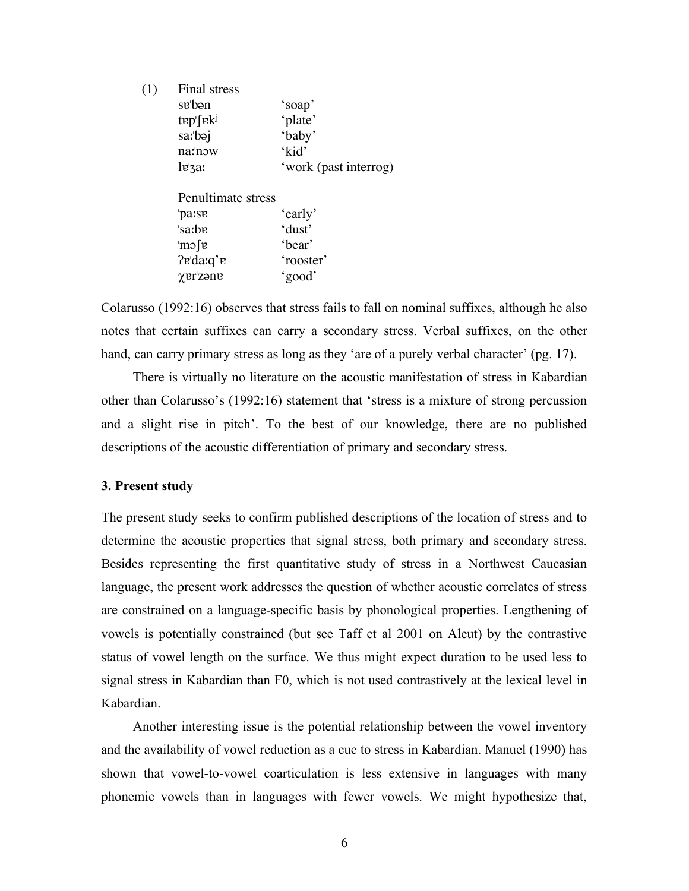(1) Final stress se'bən 'soap'  $\text{t}$ ep" $\text{f}$ ek<sup>j</sup> 'plate' sa: baby' baby' na:'nəw 'kid' le'za: 'work (past interrog) Penultimate stress 'pa:se 'early' "sa…bå 'dust'  $'m\geq 6$  'bear' ?e'da:q'e 'rooster'  $\gamma$ er'zəne 'good'

Colarusso (1992:16) observes that stress fails to fall on nominal suffixes, although he also notes that certain suffixes can carry a secondary stress. Verbal suffixes, on the other hand, can carry primary stress as long as they 'are of a purely verbal character' (pg. 17).

There is virtually no literature on the acoustic manifestation of stress in Kabardian other than Colarusso's (1992:16) statement that 'stress is a mixture of strong percussion and a slight rise in pitch'. To the best of our knowledge, there are no published descriptions of the acoustic differentiation of primary and secondary stress.

#### **3. Present study**

The present study seeks to confirm published descriptions of the location of stress and to determine the acoustic properties that signal stress, both primary and secondary stress. Besides representing the first quantitative study of stress in a Northwest Caucasian language, the present work addresses the question of whether acoustic correlates of stress are constrained on a language-specific basis by phonological properties. Lengthening of vowels is potentially constrained (but see Taff et al 2001 on Aleut) by the contrastive status of vowel length on the surface. We thus might expect duration to be used less to signal stress in Kabardian than F0, which is not used contrastively at the lexical level in Kabardian.

Another interesting issue is the potential relationship between the vowel inventory and the availability of vowel reduction as a cue to stress in Kabardian. Manuel (1990) has shown that vowel-to-vowel coarticulation is less extensive in languages with many phonemic vowels than in languages with fewer vowels. We might hypothesize that,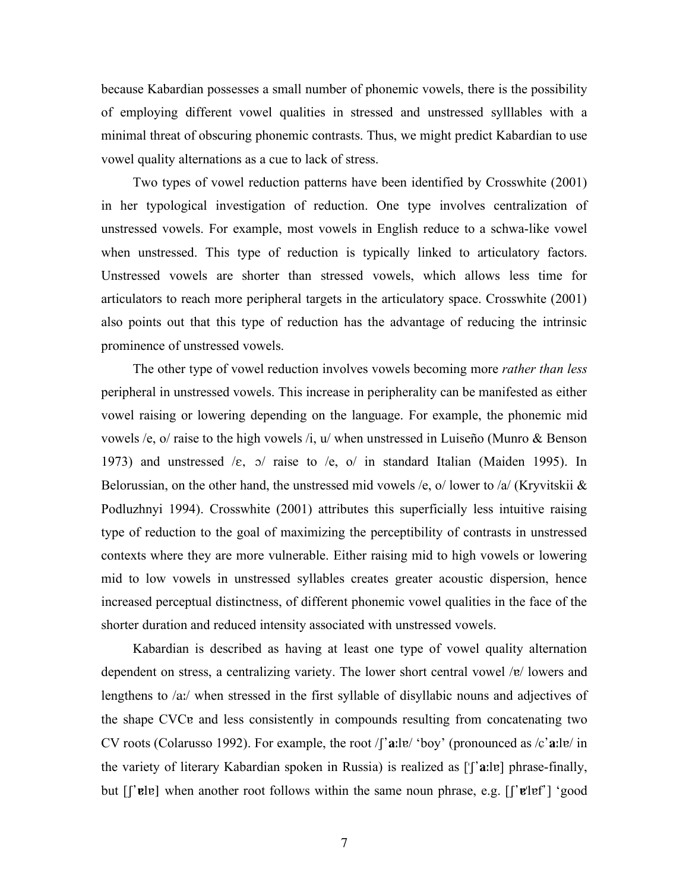because Kabardian possesses a small number of phonemic vowels, there is the possibility of employing different vowel qualities in stressed and unstressed sylllables with a minimal threat of obscuring phonemic contrasts. Thus, we might predict Kabardian to use vowel quality alternations as a cue to lack of stress.

Two types of vowel reduction patterns have been identified by Crosswhite (2001) in her typological investigation of reduction. One type involves centralization of unstressed vowels. For example, most vowels in English reduce to a schwa-like vowel when unstressed. This type of reduction is typically linked to articulatory factors. Unstressed vowels are shorter than stressed vowels, which allows less time for articulators to reach more peripheral targets in the articulatory space. Crosswhite (2001) also points out that this type of reduction has the advantage of reducing the intrinsic prominence of unstressed vowels.

The other type of vowel reduction involves vowels becoming more *rather than less* peripheral in unstressed vowels. This increase in peripherality can be manifested as either vowel raising or lowering depending on the language. For example, the phonemic mid vowels /e, o/ raise to the high vowels /i, u/ when unstressed in Luiseño (Munro & Benson 1973) and unstressed  $\ell \infty$ ,  $\sigma$  raise to  $\ell \infty$ ,  $\sigma'$  in standard Italian (Maiden 1995). In Belorussian, on the other hand, the unstressed mid vowels /e,  $\sigma$ / lower to /a/ (Kryvitskii & Podluzhnyi 1994). Crosswhite (2001) attributes this superficially less intuitive raising type of reduction to the goal of maximizing the perceptibility of contrasts in unstressed contexts where they are more vulnerable. Either raising mid to high vowels or lowering mid to low vowels in unstressed syllables creates greater acoustic dispersion, hence increased perceptual distinctness, of different phonemic vowel qualities in the face of the shorter duration and reduced intensity associated with unstressed vowels.

Kabardian is described as having at least one type of vowel quality alternation dependent on stress, a centralizing variety. The lower short central vowel  $\left|\mathbf{e}\right|$  lowers and lengthens to /a:/ when stressed in the first syllable of disyllabic nouns and adjectives of the shape CVCå and less consistently in compounds resulting from concatenating two CV roots (Colarusso 1992). For example, the root /['a:lɐ/ 'boy' (pronounced as / $\zeta$ 'a:lɐ/ in the variety of literary Kabardian spoken in Russia) is realized as ['['a:lɐ] phrase-finally, but  $\lceil \mathbf{i} \cdot \mathbf{j} \rceil$  when another root follows within the same noun phrase, e.g.  $\lceil \mathbf{i} \cdot \mathbf{k'} \rceil$  'good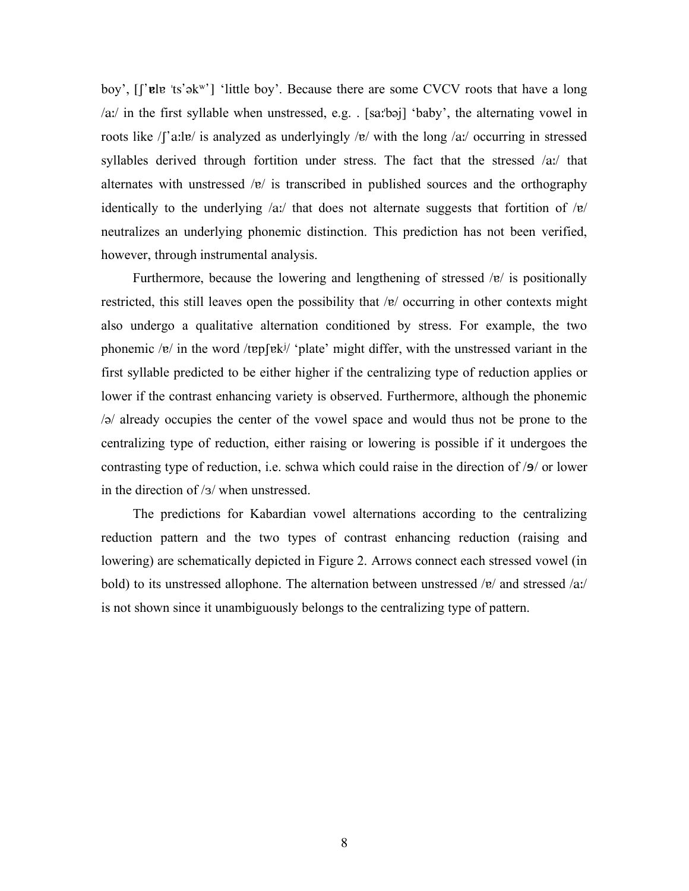boy', [f'vel 'ts'<sup>2</sup>k<sup>w'</sup>] 'little boy'. Because there are some CVCV roots that have a long  $\alpha$ .  $\alpha$ <sup>'</sup> in the first syllable when unstressed, e.g. . [sa:boi] 'baby', the alternating vowel in roots like /f'a:le/ is analyzed as underlyingly /e/ with the long /a:/ occurring in stressed syllables derived through fortition under stress. The fact that the stressed /a:/ that alternates with unstressed / $e$ / is transcribed in published sources and the orthography identically to the underlying  $\alpha$ . that does not alternate suggests that fortition of  $\alpha$ neutralizes an underlying phonemic distinction. This prediction has not been verified, however, through instrumental analysis.

Furthermore, because the lowering and lengthening of stressed  $/e/$  is positionally restricted, this still leaves open the possibility that  $\frac{1}{e}$  occurring in other contexts might also undergo a qualitative alternation conditioned by stress. For example, the two phonemic / $\mathbf{e}$ / in the word /t $\mathbf{e}$ p[ $\mathbf{e}$ kʲ/ 'plate' might differ, with the unstressed variant in the first syllable predicted to be either higher if the centralizing type of reduction applies or lower if the contrast enhancing variety is observed. Furthermore, although the phonemic  $\sqrt{2}$  already occupies the center of the vowel space and would thus not be prone to the centralizing type of reduction, either raising or lowering is possible if it undergoes the contrasting type of reduction, i.e. schwa which could raise in the direction of  $/9/$  or lower in the direction of  $\frac{1}{3}$  when unstressed.

The predictions for Kabardian vowel alternations according to the centralizing reduction pattern and the two types of contrast enhancing reduction (raising and lowering) are schematically depicted in Figure 2. Arrows connect each stressed vowel (in bold) to its unstressed allophone. The alternation between unstressed  $/e$  and stressed  $\frac{a}{a}$ . is not shown since it unambiguously belongs to the centralizing type of pattern.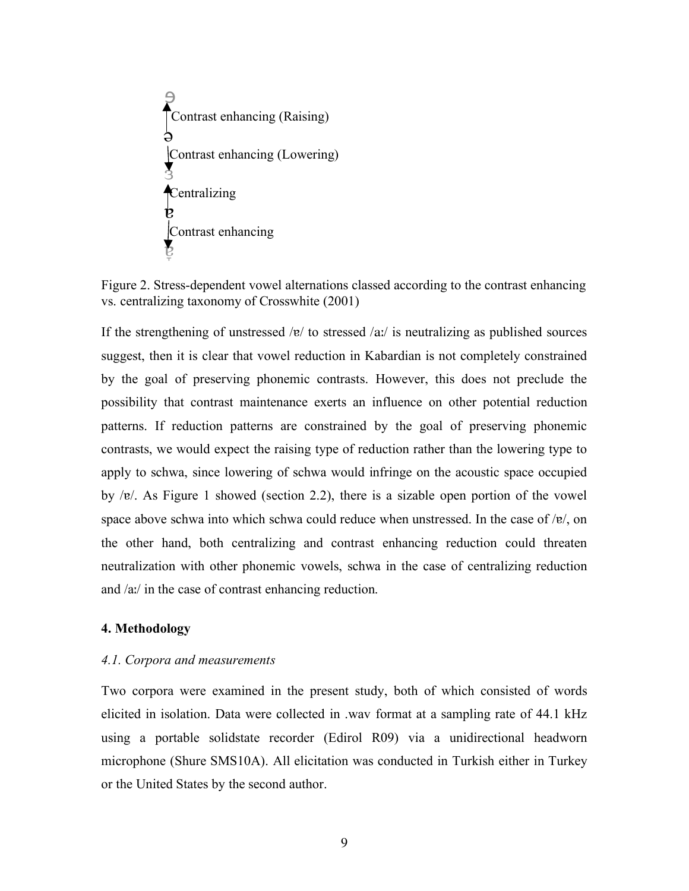

Figure 2. Stress-dependent vowel alternations classed according to the contrast enhancing vs. centralizing taxonomy of Crosswhite (2001)

If the strengthening of unstressed / $e$ / to stressed /a:/ is neutralizing as published sources suggest, then it is clear that vowel reduction in Kabardian is not completely constrained by the goal of preserving phonemic contrasts. However, this does not preclude the possibility that contrast maintenance exerts an influence on other potential reduction patterns. If reduction patterns are constrained by the goal of preserving phonemic contrasts, we would expect the raising type of reduction rather than the lowering type to apply to schwa, since lowering of schwa would infringe on the acoustic space occupied by  $\vert \mathbf{e} \vert$ . As Figure 1 showed (section 2.2), there is a sizable open portion of the vowel space above schwa into which schwa could reduce when unstressed. In the case of  $/e/$ , on the other hand, both centralizing and contrast enhancing reduction could threaten neutralization with other phonemic vowels, schwa in the case of centralizing reduction and  $\alpha$ . in the case of contrast enhancing reduction.

# **4. Methodology**

#### *4.1. Corpora and measurements*

Two corpora were examined in the present study, both of which consisted of words elicited in isolation. Data were collected in .wav format at a sampling rate of 44.1 kHz using a portable solidstate recorder (Edirol R09) via a unidirectional headworn microphone (Shure SMS10A). All elicitation was conducted in Turkish either in Turkey or the United States by the second author.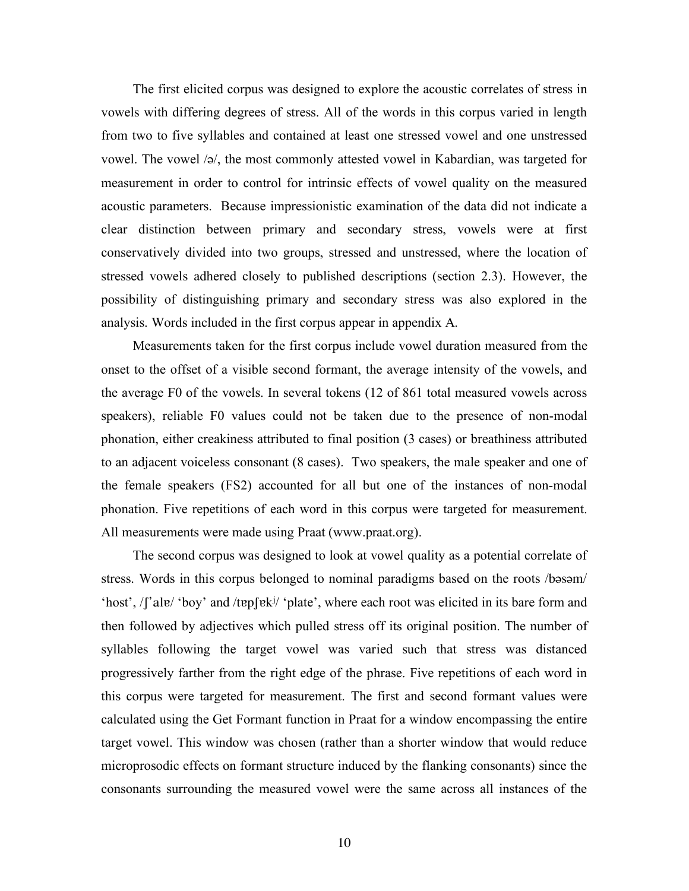The first elicited corpus was designed to explore the acoustic correlates of stress in vowels with differing degrees of stress. All of the words in this corpus varied in length from two to five syllables and contained at least one stressed vowel and one unstressed vowel. The vowel  $\mathcal{P}$ , the most commonly attested vowel in Kabardian, was targeted for measurement in order to control for intrinsic effects of vowel quality on the measured acoustic parameters. Because impressionistic examination of the data did not indicate a clear distinction between primary and secondary stress, vowels were at first conservatively divided into two groups, stressed and unstressed, where the location of stressed vowels adhered closely to published descriptions (section 2.3). However, the possibility of distinguishing primary and secondary stress was also explored in the analysis. Words included in the first corpus appear in appendix A.

Measurements taken for the first corpus include vowel duration measured from the onset to the offset of a visible second formant, the average intensity of the vowels, and the average F0 of the vowels. In several tokens (12 of 861 total measured vowels across speakers), reliable F0 values could not be taken due to the presence of non-modal phonation, either creakiness attributed to final position (3 cases) or breathiness attributed to an adjacent voiceless consonant (8 cases). Two speakers, the male speaker and one of the female speakers (FS2) accounted for all but one of the instances of non-modal phonation. Five repetitions of each word in this corpus were targeted for measurement. All measurements were made using Praat (www.praat.org).

The second corpus was designed to look at vowel quality as a potential correlate of stress. Words in this corpus belonged to nominal paradigms based on the roots /bosom/ 'host', /['alɐ/ 'boy' and /tɐp[ɐkʲ/ 'plate', where each root was elicited in its bare form and then followed by adjectives which pulled stress off its original position. The number of syllables following the target vowel was varied such that stress was distanced progressively farther from the right edge of the phrase. Five repetitions of each word in this corpus were targeted for measurement. The first and second formant values were calculated using the Get Formant function in Praat for a window encompassing the entire target vowel. This window was chosen (rather than a shorter window that would reduce microprosodic effects on formant structure induced by the flanking consonants) since the consonants surrounding the measured vowel were the same across all instances of the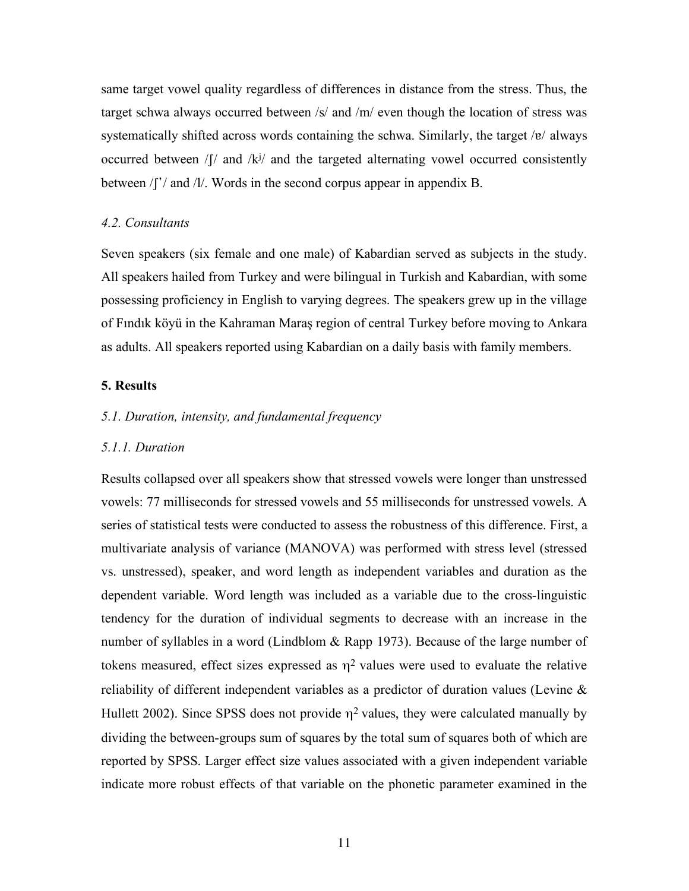same target vowel quality regardless of differences in distance from the stress. Thus, the target schwa always occurred between /s/ and /m/ even though the location of stress was systematically shifted across words containing the schwa. Similarly, the target  $/e$ / always occurred between /f/ and /k<sup>i</sup>/ and the targeted alternating vowel occurred consistently between  $\frac{y}{x}$  and  $\frac{y}{x}$ . Words in the second corpus appear in appendix B.

#### *4.2. Consultants*

Seven speakers (six female and one male) of Kabardian served as subjects in the study. All speakers hailed from Turkey and were bilingual in Turkish and Kabardian, with some possessing proficiency in English to varying degrees. The speakers grew up in the village of Fındık köyü in the Kahraman Maraş region of central Turkey before moving to Ankara as adults. All speakers reported using Kabardian on a daily basis with family members.

#### **5. Results**

### *5.1. Duration, intensity, and fundamental frequency*

#### *5.1.1. Duration*

Results collapsed over all speakers show that stressed vowels were longer than unstressed vowels: 77 milliseconds for stressed vowels and 55 milliseconds for unstressed vowels. A series of statistical tests were conducted to assess the robustness of this difference. First, a multivariate analysis of variance (MANOVA) was performed with stress level (stressed vs. unstressed), speaker, and word length as independent variables and duration as the dependent variable. Word length was included as a variable due to the cross-linguistic tendency for the duration of individual segments to decrease with an increase in the number of syllables in a word (Lindblom & Rapp 1973). Because of the large number of tokens measured, effect sizes expressed as  $\eta^2$  values were used to evaluate the relative reliability of different independent variables as a predictor of duration values (Levine & Hullett 2002). Since SPSS does not provide  $\eta^2$  values, they were calculated manually by dividing the between-groups sum of squares by the total sum of squares both of which are reported by SPSS. Larger effect size values associated with a given independent variable indicate more robust effects of that variable on the phonetic parameter examined in the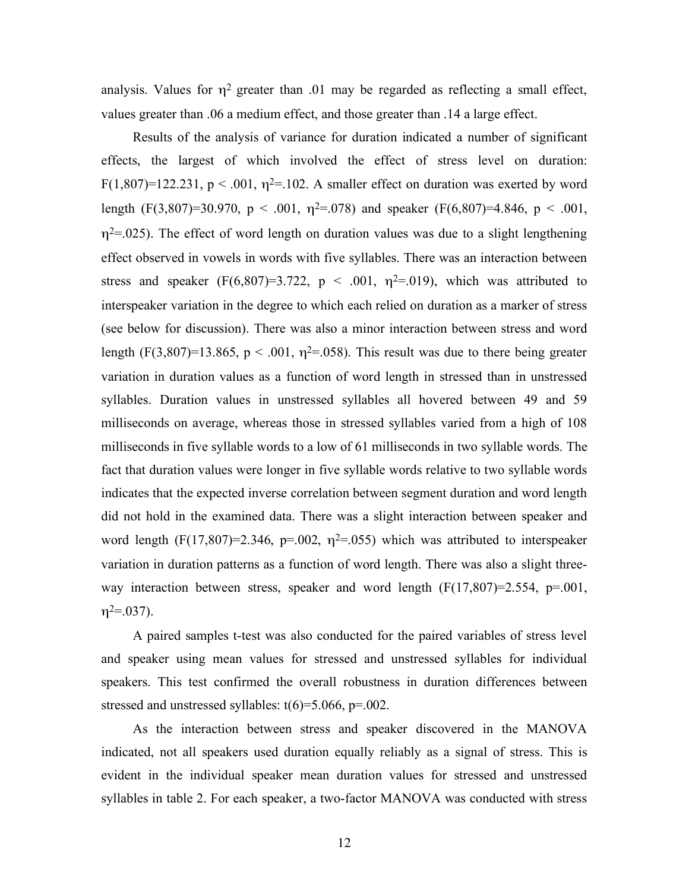analysis. Values for  $\eta^2$  greater than .01 may be regarded as reflecting a small effect, values greater than .06 a medium effect, and those greater than .14 a large effect.

Results of the analysis of variance for duration indicated a number of significant effects, the largest of which involved the effect of stress level on duration: F(1,807)=122.231,  $p < .001$ ,  $\eta^2 = .102$ . A smaller effect on duration was exerted by word length (F(3,807)=30.970, p < .001,  $\eta^{2}$ =.078) and speaker (F(6,807)=4.846, p < .001,  $\eta^{2}$ =.025). The effect of word length on duration values was due to a slight lengthening effect observed in vowels in words with five syllables. There was an interaction between stress and speaker  $(F(6,807)=3.722, p < .001, \eta^2=019)$ , which was attributed to interspeaker variation in the degree to which each relied on duration as a marker of stress (see below for discussion). There was also a minor interaction between stress and word length (F(3,807)=13.865, p < .001,  $\eta$ <sup>2=</sup>.058). This result was due to there being greater variation in duration values as a function of word length in stressed than in unstressed syllables. Duration values in unstressed syllables all hovered between 49 and 59 milliseconds on average, whereas those in stressed syllables varied from a high of 108 milliseconds in five syllable words to a low of 61 milliseconds in two syllable words. The fact that duration values were longer in five syllable words relative to two syllable words indicates that the expected inverse correlation between segment duration and word length did not hold in the examined data. There was a slight interaction between speaker and word length (F(17,807)=2.346, p=.002,  $\eta$ <sup>2=</sup>.055) which was attributed to interspeaker variation in duration patterns as a function of word length. There was also a slight threeway interaction between stress, speaker and word length  $(F(17,807)=2.554, p=.001,$  $\eta^{2} = 0.037$ ).

A paired samples t-test was also conducted for the paired variables of stress level and speaker using mean values for stressed and unstressed syllables for individual speakers. This test confirmed the overall robustness in duration differences between stressed and unstressed syllables:  $t(6)=5.066$ ,  $p=.002$ .

As the interaction between stress and speaker discovered in the MANOVA indicated, not all speakers used duration equally reliably as a signal of stress. This is evident in the individual speaker mean duration values for stressed and unstressed syllables in table 2. For each speaker, a two-factor MANOVA was conducted with stress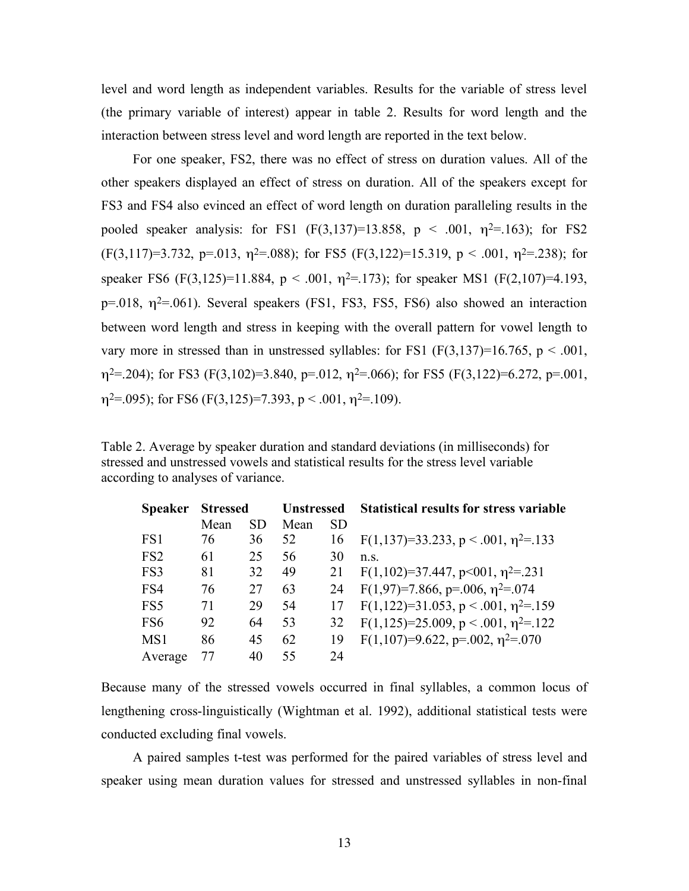level and word length as independent variables. Results for the variable of stress level (the primary variable of interest) appear in table 2. Results for word length and the interaction between stress level and word length are reported in the text below.

For one speaker, FS2, there was no effect of stress on duration values. All of the other speakers displayed an effect of stress on duration. All of the speakers except for FS3 and FS4 also evinced an effect of word length on duration paralleling results in the pooled speaker analysis: for FS1 (F(3,137)=13.858, p < .001,  $\eta^2$ =.163); for FS2  $(F(3,117)=3.732, p=.013, \eta^{2}=.088)$ ; for FS5  $(F(3,122)=15.319, p < .001, \eta^{2}=.238)$ ; for speaker FS6 (F(3,125)=11.884, p < .001,  $\eta^{2}$ =.173); for speaker MS1 (F(2,107)=4.193,  $p=0.018$ ,  $\eta^2=0.061$ ). Several speakers (FS1, FS3, FS5, FS6) also showed an interaction between word length and stress in keeping with the overall pattern for vowel length to vary more in stressed than in unstressed syllables: for FS1 (F(3,137)=16.765, p < .001,  $\eta^{2} = 204$ ); for FS3 (F(3,102)=3.840, p=.012,  $\eta^{2} = 0.066$ ); for FS5 (F(3,122)=6.272, p=.001,  $\eta^{2} = .095$ ); for FS6 (F(3,125)=7.393, p < .001,  $\eta^{2} = .109$ ).

Table 2. Average by speaker duration and standard deviations (in milliseconds) for stressed and unstressed vowels and statistical results for the stress level variable according to analyses of variance.

| <b>Speaker</b>  | <b>Stressed</b> |           | <b>Unstressed</b> |    | <b>Statistical results for stress variable</b> |
|-----------------|-----------------|-----------|-------------------|----|------------------------------------------------|
|                 | Mean            | <b>SD</b> | Mean              | SD |                                                |
| FS1             | 76              | 36        | 52                | 16 | $F(1,137)=33.233, p < .001, p^2=.133$          |
| FS <sub>2</sub> | 61              | 25        | 56                | 30 | $n_{\rm s}$                                    |
| FS3             | 81              | 32        | 49                | 21 | $F(1,102)=37.447, p<001, \eta^{2}=.231$        |
| FS4             | 76              | 27        | 63                | 24 | $F(1,97)=7.866$ , p=.006, $\eta^2=0.074$       |
| FS <sub>5</sub> | 71              | 29        | 54                | 17 | $F(1,122)=31.053, p \le 0.001, p^2=159$        |
| FS <sub>6</sub> | 92              | 64        | 53                | 32 | $F(1,125)=25.009, p < .001, \eta^{2} = .122$   |
| MS1             | 86              | 45        | 62                | 19 | $F(1,107)=9.622$ , p=.002, $\eta^2=0.070$      |
| Average         | 77              | 40        | 55                | 24 |                                                |

Because many of the stressed vowels occurred in final syllables, a common locus of lengthening cross-linguistically (Wightman et al. 1992), additional statistical tests were conducted excluding final vowels.

A paired samples t-test was performed for the paired variables of stress level and speaker using mean duration values for stressed and unstressed syllables in non-final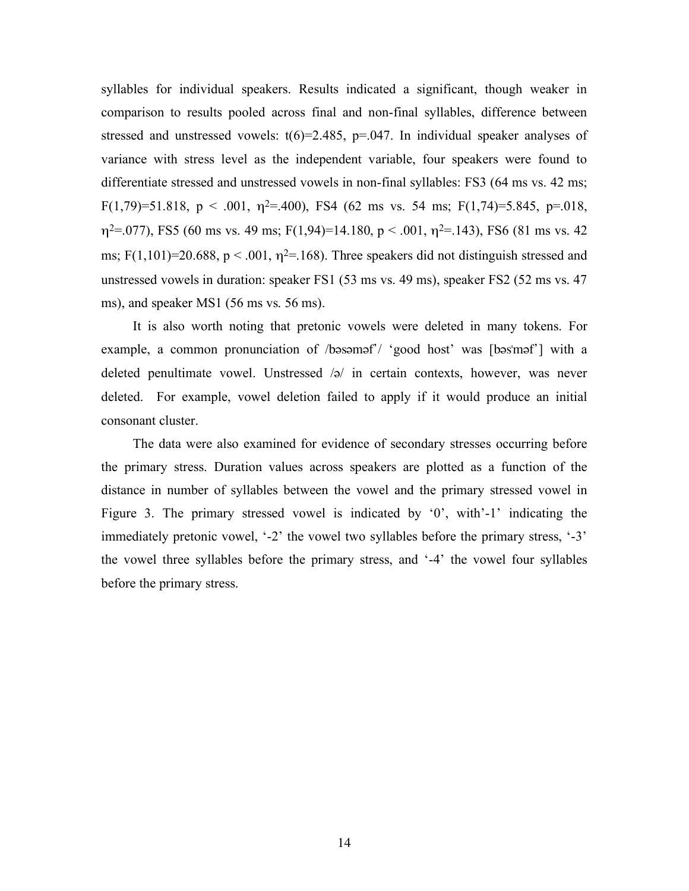syllables for individual speakers. Results indicated a significant, though weaker in comparison to results pooled across final and non-final syllables, difference between stressed and unstressed vowels:  $t(6)=2.485$ ,  $p=.047$ . In individual speaker analyses of variance with stress level as the independent variable, four speakers were found to differentiate stressed and unstressed vowels in non-final syllables: FS3 (64 ms vs. 42 ms; F(1,79)=51.818, p < .001,  $\eta^{2}$ =.400), FS4 (62 ms vs. 54 ms; F(1,74)=5.845, p=.018,  $\eta^{2}$ =.077), FS5 (60 ms vs. 49 ms; F(1,94)=14.180, p < .001,  $\eta^{2}$ =.143), FS6 (81 ms vs. 42 ms; F(1,101)=20.688, p < .001,  $\eta^2$ =.168). Three speakers did not distinguish stressed and unstressed vowels in duration: speaker FS1 (53 ms vs. 49 ms), speaker FS2 (52 ms vs. 47 ms), and speaker MS1 (56 ms vs. 56 ms).

It is also worth noting that pretonic vowels were deleted in many tokens. For example, a common pronunciation of /b $\sigma$ samaf'/ 'good host' was [bas'maf'] with a deleted penultimate vowel. Unstressed  $\sqrt{a}$  in certain contexts, however, was never deleted. For example, vowel deletion failed to apply if it would produce an initial consonant cluster.

The data were also examined for evidence of secondary stresses occurring before the primary stress. Duration values across speakers are plotted as a function of the distance in number of syllables between the vowel and the primary stressed vowel in Figure 3. The primary stressed vowel is indicated by '0', with'-1' indicating the immediately pretonic vowel, '-2' the vowel two syllables before the primary stress, '-3' the vowel three syllables before the primary stress, and '-4' the vowel four syllables before the primary stress.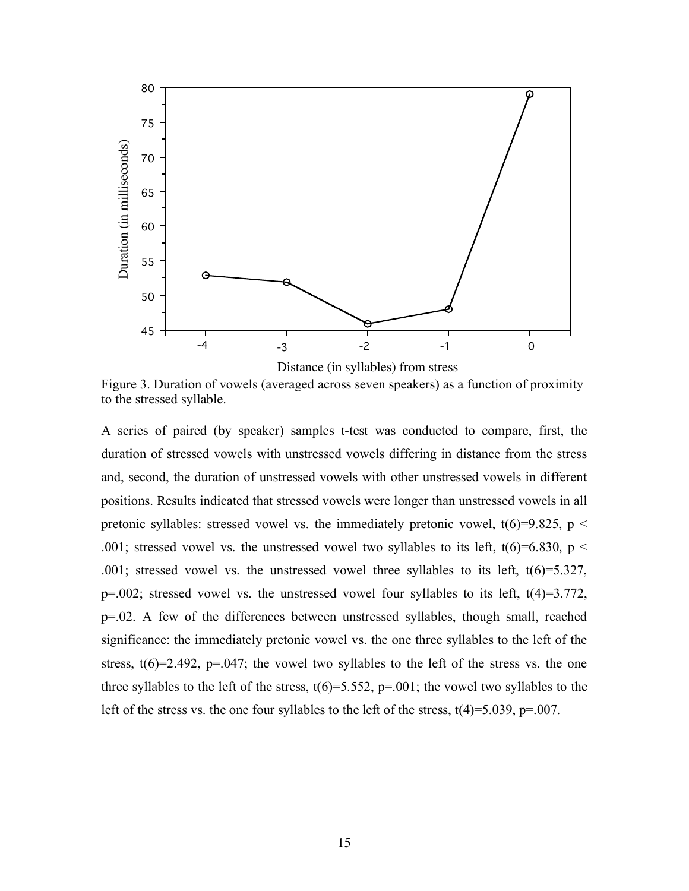

Figure 3. Duration of vowels (averaged across seven speakers) as a function of proximity to the stressed syllable.

45  $+$   $-4$   $-3$  Distance (in s<br>Distance (in s<br>3. Duration of vowels (averaged across<br>tressed syllable.<br>so of paired (by speaker) samples t-to<br>n of stressed vowels with unstressed vowel<br>s. Results indicated that stressed A series of paired (by speaker) samples t-test was conducted to compare, first, the duration of stressed vowels with unstressed vowels differing in distance from the stress and, second, the duration of unstressed vowels with other unstressed vowels in different positions. Results indicated that stressed vowels were longer than unstressed vowels in all pretonic syllables: stressed vowel vs. the immediately pretonic vowel,  $t(6)=9.825$ ,  $p <$ .001; stressed vowel vs. the unstressed vowel two syllables to its left, t(6)=6.830,  $p <$ .001; stressed vowel vs. the unstressed vowel three syllables to its left,  $t(6)=5.327$ ,  $p=0.002$ ; stressed vowel vs. the unstressed vowel four syllables to its left,  $t(4)=3.772$ , p=.02. A few of the differences between unstressed syllables, though small, reached significance: the immediately pretonic vowel vs. the one three syllables to the left of the stress,  $t(6)=2.492$ ,  $p=.047$ ; the vowel two syllables to the left of the stress vs. the one three syllables to the left of the stress,  $t(6)=5.552$ ,  $p=.001$ ; the vowel two syllables to the left of the stress vs. the one four syllables to the left of the stress,  $t(4)=5.039$ ,  $p=.007$ .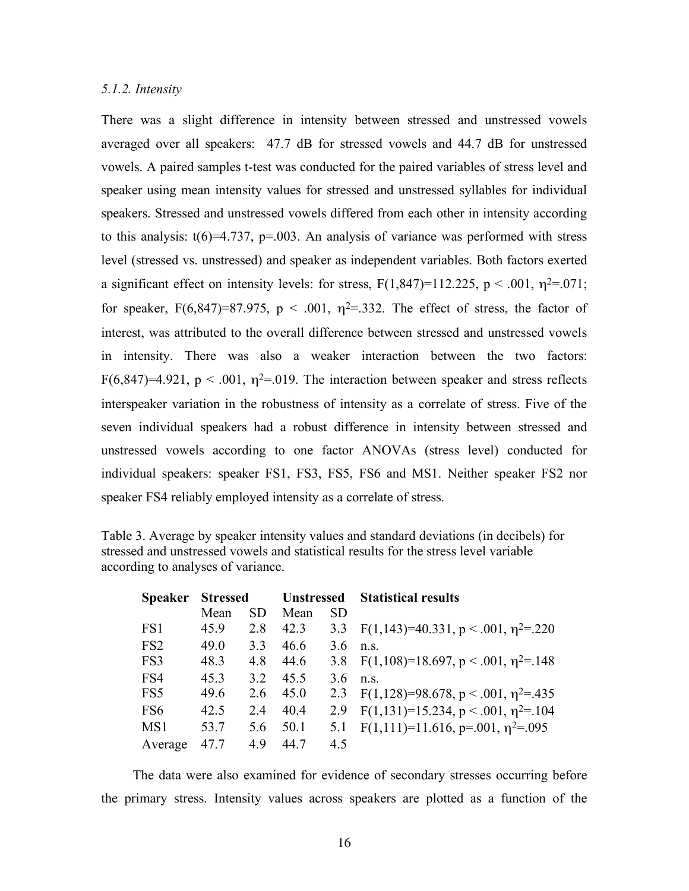#### *5.1.2. Intensity*

There was a slight difference in intensity between stressed and unstressed vowels averaged over all speakers: 47.7 dB for stressed vowels and 44.7 dB for unstressed vowels. A paired samples t-test was conducted for the paired variables of stress level and speaker using mean intensity values for stressed and unstressed syllables for individual speakers. Stressed and unstressed vowels differed from each other in intensity according to this analysis:  $t(6)=4.737$ ,  $p=.003$ . An analysis of variance was performed with stress level (stressed vs. unstressed) and speaker as independent variables. Both factors exerted a significant effect on intensity levels: for stress,  $F(1,847)=112.225$ ,  $p < .001$ ,  $\eta^2=071$ ; for speaker, F(6,847)=87.975, p < .001,  $\eta$ <sup>2=</sup>.332. The effect of stress, the factor of interest, was attributed to the overall difference between stressed and unstressed vowels in intensity. There was also a weaker interaction between the two factors: F(6,847)=4.921,  $p < .001$ ,  $\eta^{2} = .019$ . The interaction between speaker and stress reflects interspeaker variation in the robustness of intensity as a correlate of stress. Five of the seven individual speakers had a robust difference in intensity between stressed and unstressed vowels according to one factor ANOVAs (stress level) conducted for individual speakers: speaker FS1, FS3, FS5, FS6 and MS1. Neither speaker FS2 nor speaker FS4 reliably employed intensity as a correlate of stress.

Table 3. Average by speaker intensity values and standard deviations (in decibels) for stressed and unstressed vowels and statistical results for the stress level variable according to analyses of variance.

| <b>Speaker</b>  | <b>Stressed</b> |     | <b>Unstressed</b> |     | <b>Statistical results</b>                           |
|-----------------|-----------------|-----|-------------------|-----|------------------------------------------------------|
|                 | Mean            | SD  | Mean              | SD  |                                                      |
| FS1             | 45.9            | 2.8 | 42.3              | 3.3 | $F(1,143)=40.331, p < .001, \eta^2=220$              |
| FS <sub>2</sub> | 49.0            | 33  | 46.6              | 36  | n.S.                                                 |
| FS3             | 48.3            | 4.8 | 44.6              |     | 3.8 $F(1,108)=18.697, p < .001, \eta^2=148$          |
| FS4             | 45.3            | 32  | 45.5              | 36  | n <sub>s</sub>                                       |
| FS5             | 49.6            | 2.6 | 45.0              | 2.3 | F(1,128)=98.678, p < .001, $\eta$ <sup>2=</sup> .435 |
| FS <sub>6</sub> | 42.5            | 24  | 40.4              | 2.9 | $F(1,131)=15.234, p < .001, \eta^2=104$              |
| MS1             | 53.7            | 5.6 | 50.1              | 5.1 | $F(1,111)=11.616$ , p=.001, $\eta^{2}$ =.095         |
| Average         | 47 7            | 4.9 | 44 7              | 4.5 |                                                      |

The data were also examined for evidence of secondary stresses occurring before the primary stress. Intensity values across speakers are plotted as a function of the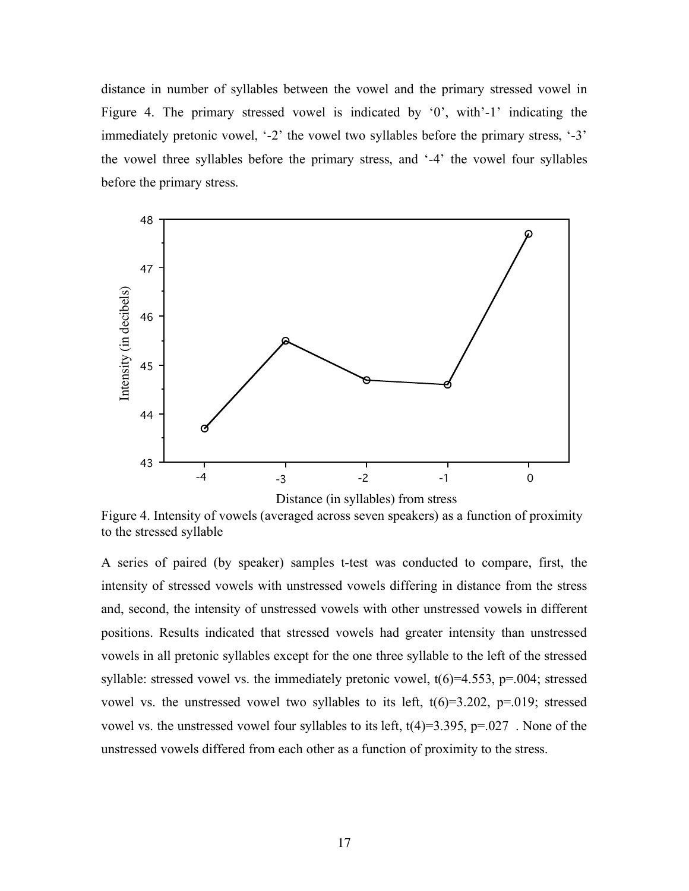distance in number of syllables between the vowel and the primary stressed vowel in Figure 4. The primary stressed vowel is indicated by '0', with'-1' indicating the immediately pretonic vowel, '-2' the vowel two syllables before the primary stress, '-3' the vowel three syllables before the primary stress, and '-4' the vowel four syllables before the primary stress.



Figure 4. Intensity of vowels (averaged across seven speakers) as a function of proximity to the stressed syllable

A series of paired (by speaker) samples t-test was conducted to compare, first, the intensity of stressed vowels with unstressed vowels differing in distance from the stress and, second, the intensity of unstressed vowels with other unstressed vowels in different positions. Results indicated that stressed vowels had greater intensity than unstressed vowels in all pretonic syllables except for the one three syllable to the left of the stressed syllable: stressed vowel vs. the immediately pretonic vowel,  $t(6)=4.553$ ,  $p=.004$ ; stressed vowel vs. the unstressed vowel two syllables to its left,  $t(6)=3.202$ ,  $p=.019$ ; stressed vowel vs. the unstressed vowel four syllables to its left,  $t(4)=3.395$ ,  $p=.027$ . None of the unstressed vowels differed from each other as a function of proximity to the stress.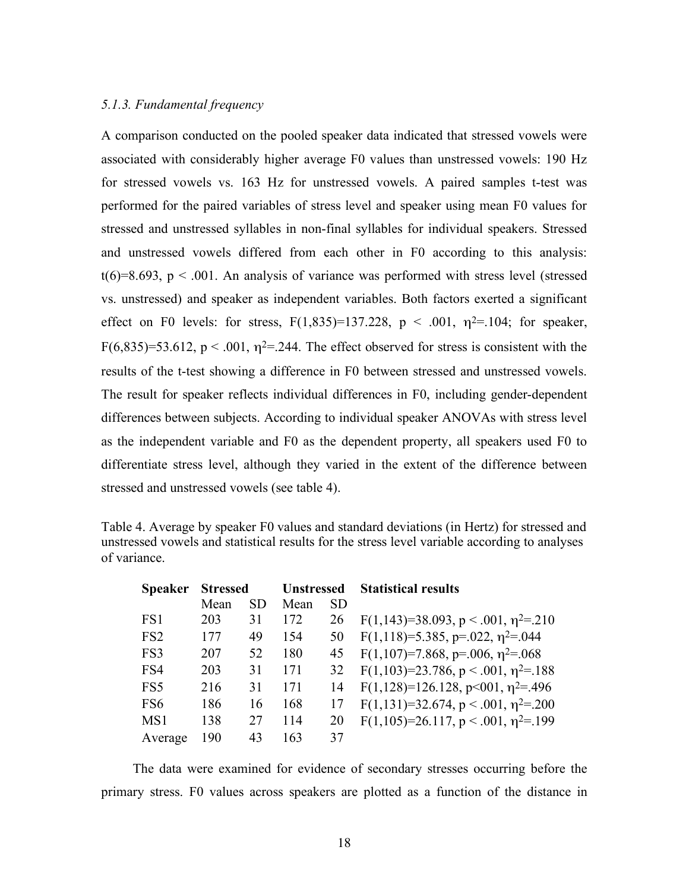# *5.1.3. Fundamental frequency*

A comparison conducted on the pooled speaker data indicated that stressed vowels were associated with considerably higher average F0 values than unstressed vowels: 190 Hz for stressed vowels vs. 163 Hz for unstressed vowels. A paired samples t-test was performed for the paired variables of stress level and speaker using mean F0 values for stressed and unstressed syllables in non-final syllables for individual speakers. Stressed and unstressed vowels differed from each other in F0 according to this analysis: t(6)=8.693,  $p < .001$ . An analysis of variance was performed with stress level (stressed vs. unstressed) and speaker as independent variables. Both factors exerted a significant effect on F0 levels: for stress,  $F(1,835)=137.228$ ,  $p < .001$ ,  $\eta^2=104$ ; for speaker, F(6,835)=53.612, p < .001,  $\eta$ <sup>2</sup>=.244. The effect observed for stress is consistent with the results of the t-test showing a difference in F0 between stressed and unstressed vowels. The result for speaker reflects individual differences in F0, including gender-dependent differences between subjects. According to individual speaker ANOVAs with stress level as the independent variable and F0 as the dependent property, all speakers used F0 to differentiate stress level, although they varied in the extent of the difference between stressed and unstressed vowels (see table 4).

Table 4. Average by speaker F0 values and standard deviations (in Hertz) for stressed and unstressed vowels and statistical results for the stress level variable according to analyses of variance.

| <b>Speaker</b>  | <b>Stressed</b> |     | <b>Unstressed</b> |    | <b>Statistical results</b>                   |
|-----------------|-----------------|-----|-------------------|----|----------------------------------------------|
|                 | Mean            | SD. | Mean              | SD |                                              |
| FS1             | 203             | 31  | 172               | 26 | $F(1,143)=38.093, p < .001, \eta^2=210$      |
| FS <sub>2</sub> | 177             | 49  | 154               | 50 | $F(1,118)=5.385$ , p=.022, $\eta^2$ =.044    |
| FS3             | 207             | 52  | 180               | 45 | $F(1,107)=7.868$ , p=.006, $\eta^2$ =.068    |
| FS4             | 203             | 31  | 171               | 32 | $F(1,103)=23.786, p < .001, \eta^{2} = .188$ |
| FS5             | 216             | 31  | 171               | 14 | $F(1,128)=126.128$ , p<001, $\eta^2$ =.496   |
| FS6             | 186             | 16  | 168               | 17 | $F(1,131)=32.674, p < .001, \eta^2=200$      |
| MS1             | 138             | 27  | 114               | 20 | $F(1,105)=26.117, p < .001, \eta^2=199$      |
| Average         | 190             | 43  | 163               | 37 |                                              |

The data were examined for evidence of secondary stresses occurring before the primary stress. F0 values across speakers are plotted as a function of the distance in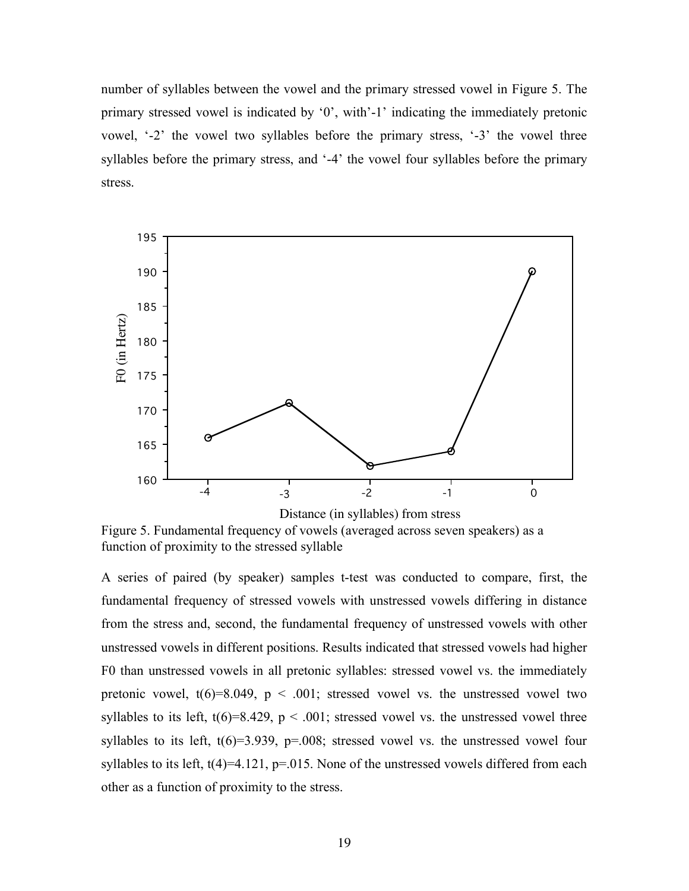number of syllables between the vowel and the primary stressed vowel in Figure 5. The primary stressed vowel is indicated by '0', with'-1' indicating the immediately pretonic vowel, '-2' the vowel two syllables before the primary stress, '-3' the vowel three syllables before the primary stress, and '-4' the vowel four syllables before the primary stress.



Figure 5. Fundamental frequency of vowels (averaged across seven speakers) as a function of proximity to the stressed syllable

A series of paired (by speaker) samples t-test was conducted to compare, first, the fundamental frequency of stressed vowels with unstressed vowels differing in distance from the stress and, second, the fundamental frequency of unstressed vowels with other unstressed vowels in different positions. Results indicated that stressed vowels had higher F0 than unstressed vowels in all pretonic syllables: stressed vowel vs. the immediately pretonic vowel,  $t(6)=8.049$ ,  $p < .001$ ; stressed vowel vs. the unstressed vowel two syllables to its left,  $t(6)=8.429$ ,  $p < .001$ ; stressed vowel vs. the unstressed vowel three syllables to its left,  $t(6)=3.939$ ,  $p=.008$ ; stressed vowel vs. the unstressed vowel four syllables to its left,  $t(4)=4.121$ ,  $p=.015$ . None of the unstressed vowels differed from each other as a function of proximity to the stress.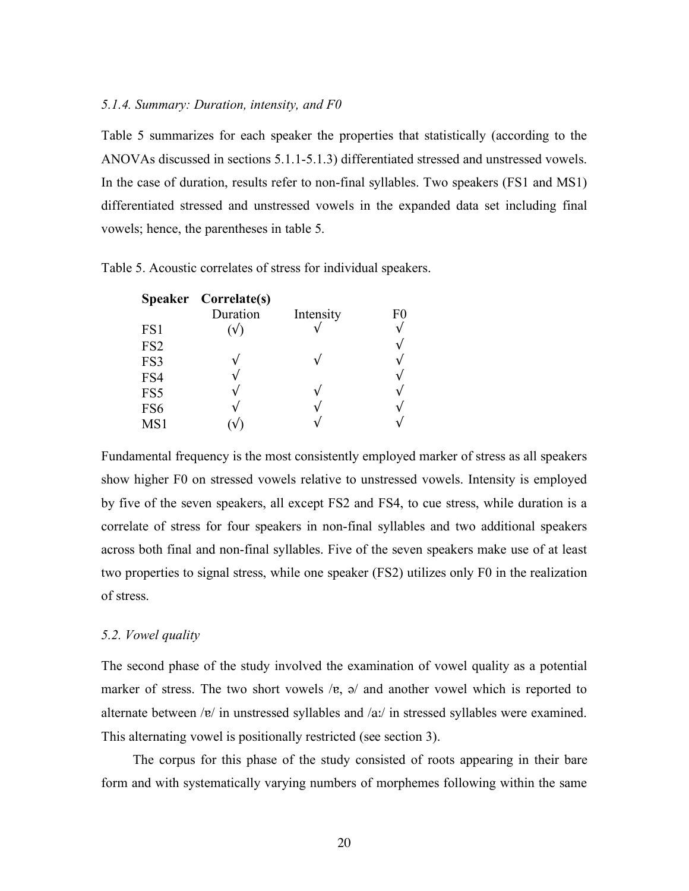#### *5.1.4. Summary: Duration, intensity, and F0*

Table 5 summarizes for each speaker the properties that statistically (according to the ANOVAs discussed in sections 5.1.1-5.1.3) differentiated stressed and unstressed vowels. In the case of duration, results refer to non-final syllables. Two speakers (FS1 and MS1) differentiated stressed and unstressed vowels in the expanded data set including final vowels; hence, the parentheses in table 5.

Table 5. Acoustic correlates of stress for individual speakers.

|                 | Speaker Correlate(s) |           |                |
|-----------------|----------------------|-----------|----------------|
|                 | Duration             | Intensity | F <sub>0</sub> |
| FS1             | $(\sqrt{2})$         |           | $\mathbf{v}$   |
| FS <sub>2</sub> |                      |           | V              |
| FS3             |                      |           |                |
| FS4             |                      |           | v              |
| FS5             |                      |           |                |
| FS <sub>6</sub> |                      |           |                |
| MS1             |                      |           |                |

Fundamental frequency is the most consistently employed marker of stress as all speakers show higher F0 on stressed vowels relative to unstressed vowels. Intensity is employed by five of the seven speakers, all except FS2 and FS4, to cue stress, while duration is a correlate of stress for four speakers in non-final syllables and two additional speakers across both final and non-final syllables. Five of the seven speakers make use of at least two properties to signal stress, while one speaker (FS2) utilizes only F0 in the realization of stress.

#### *5.2. Vowel quality*

The second phase of the study involved the examination of vowel quality as a potential marker of stress. The two short vowels  $\ell$ ,  $\varphi$  and another vowel which is reported to alternate between / $e$ / in unstressed syllables and /a:/ in stressed syllables were examined. This alternating vowel is positionally restricted (see section 3).

The corpus for this phase of the study consisted of roots appearing in their bare form and with systematically varying numbers of morphemes following within the same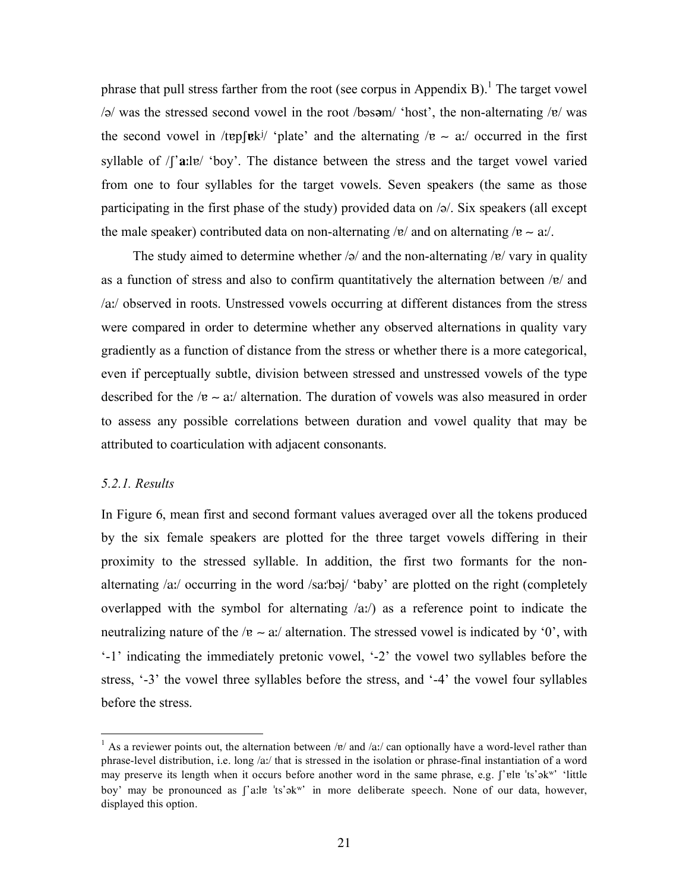phrase that pull stress farther from the root (see corpus in Appendix B).<sup>1</sup> The target vowel  $\alpha$  was the stressed second vowel in the root /bosom/ 'host', the non-alternating / $\alpha$ / was the second vowel in /t $epf$ **e**k<sup>i</sup>/ 'plate' and the alternating / $\mathbf{e} \sim \mathbf{a}$ . occurred in the first syllable of /f'a:le/ 'boy'. The distance between the stress and the target vowel varied from one to four syllables for the target vowels. Seven speakers (the same as those participating in the first phase of the study) provided data on  $\sqrt{2}$ . Six speakers (all except the male speaker) contributed data on non-alternating / $\mathbf{e}/$  and on alternating / $\mathbf{e} \sim \mathbf{a}/$ .

The study aimed to determine whether  $\sqrt{s}$  and the non-alternating / $\epsilon$ / vary in quality as a function of stress and also to confirm quantitatively the alternation between  $/e$  and /a…/ observed in roots. Unstressed vowels occurring at different distances from the stress were compared in order to determine whether any observed alternations in quality vary gradiently as a function of distance from the stress or whether there is a more categorical, even if perceptually subtle, division between stressed and unstressed vowels of the type described for the /ɐ ∼ aː/ alternation. The duration of vowels was also measured in order to assess any possible correlations between duration and vowel quality that may be attributed to coarticulation with adjacent consonants.

## *5.2.1. Results*

In Figure 6, mean first and second formant values averaged over all the tokens produced by the six female speakers are plotted for the three target vowels differing in their proximity to the stressed syllable. In addition, the first two formants for the nonalternating  $\alpha$ .  $\alpha$  occurring in the word  $\alpha$ .  $\beta$  is  $\alpha$  or  $\beta$  are plotted on the right (completely overlapped with the symbol for alternating  $\langle a x \rangle$  as a reference point to indicate the neutralizing nature of the / $\mathbf{e} \sim a$ ;/ alternation. The stressed vowel is indicated by '0', with '-1' indicating the immediately pretonic vowel, '-2' the vowel two syllables before the stress, '-3' the vowel three syllables before the stress, and '-4' the vowel four syllables before the stress.

<sup>&</sup>lt;sup>1</sup> As a reviewer points out, the alternation between / $e$ / and /a:/ can optionally have a word-level rather than phrase-level distribution, i.e. long /a…/ that is stressed in the isolation or phrase-final instantiation of a word may preserve its length when it occurs before another word in the same phrase, e.g.  $\int$ 'ele 'ts' $\partial x^W$ ' 'little boy' may be pronounced as  $\int a \, d\mathbf{k}$  'ts' $a \cdot k^w$ ' in more deliberate speech. None of our data, however, displayed this option.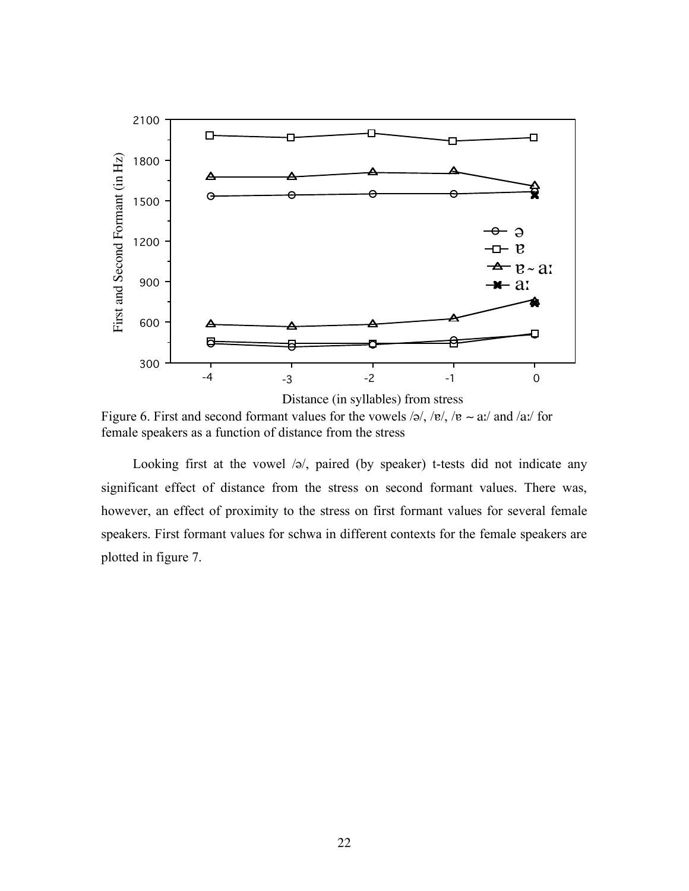

Figure 6. First and second formant values for the vowels  $\sqrt{e}$ ,  $\sqrt{e}$ ,  $\sqrt{e}$  ~ a. and  $\sqrt{a}$ . for female speakers as a function of distance from the stress

<sup>1</sup><br><sup>2</sup><br>23 Distance (in<br>6. First and second formant values for t<br>speakers as a function of distance from<br>cooking first at the vowel /ə/, paired<br>cant effect of distance from the stress<br>er, an effect of proximity to the stre Looking first at the vowel  $\sqrt{a}$ , paired (by speaker) t-tests did not indicate any significant effect of distance from the stress on second formant values. There was, however, an effect of proximity to the stress on first formant values for several female speakers. First formant values for schwa in different contexts for the female speakers are plotted in figure 7.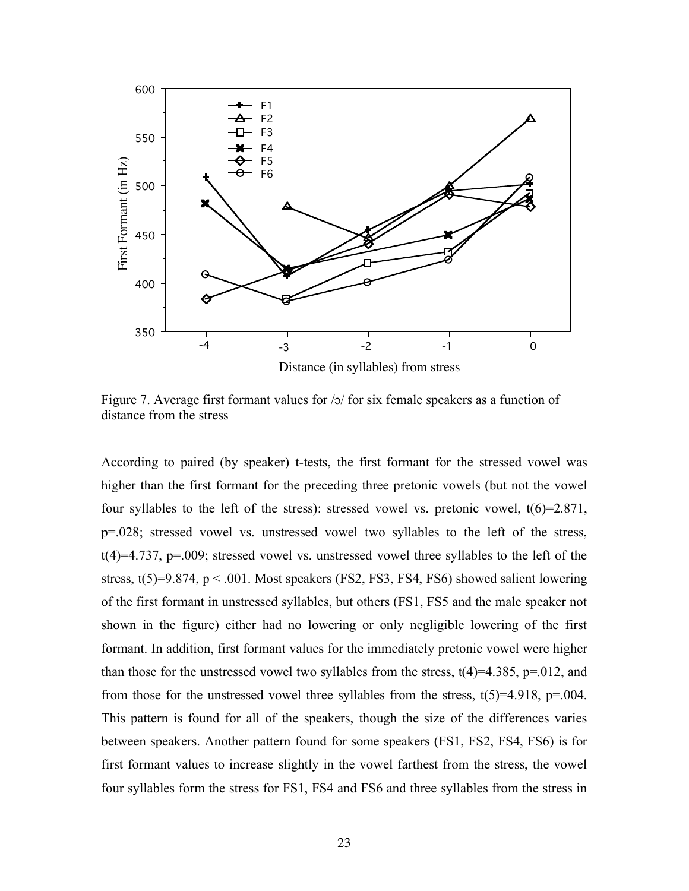

Figure 7. Average first formant values for  $\frac{1}{2}$  for six female speakers as a function of distance from the stress

350<br>
24 <sup>-3</sup><br>
23 Distance (in s<br>
27. Average first formant values for / $\approx$ /1<br>
27. Average first formant values for / $\approx$ /1<br>
22 dinameter of the stress): stress<br>
3; stressed vowel vs. unstressed vowel vs.<br>
2737, p=.009; s According to paired (by speaker) t-tests, the first formant for the stressed vowel was higher than the first formant for the preceding three pretonic vowels (but not the vowel four syllables to the left of the stress): stressed vowel vs. pretonic vowel,  $t(6)=2.871$ , p=.028; stressed vowel vs. unstressed vowel two syllables to the left of the stress, t(4)=4.737, p=.009; stressed vowel vs. unstressed vowel three syllables to the left of the stress,  $t(5)=9.874$ ,  $p < .001$ . Most speakers (FS2, FS3, FS4, FS6) showed salient lowering of the first formant in unstressed syllables, but others (FS1, FS5 and the male speaker not shown in the figure) either had no lowering or only negligible lowering of the first formant. In addition, first formant values for the immediately pretonic vowel were higher than those for the unstressed vowel two syllables from the stress,  $t(4)=4.385$ ,  $p=.012$ , and from those for the unstressed vowel three syllables from the stress,  $t(5)=4.918$ ,  $p=.004$ . This pattern is found for all of the speakers, though the size of the differences varies between speakers. Another pattern found for some speakers (FS1, FS2, FS4, FS6) is for first formant values to increase slightly in the vowel farthest from the stress, the vowel four syllables form the stress for FS1, FS4 and FS6 and three syllables from the stress in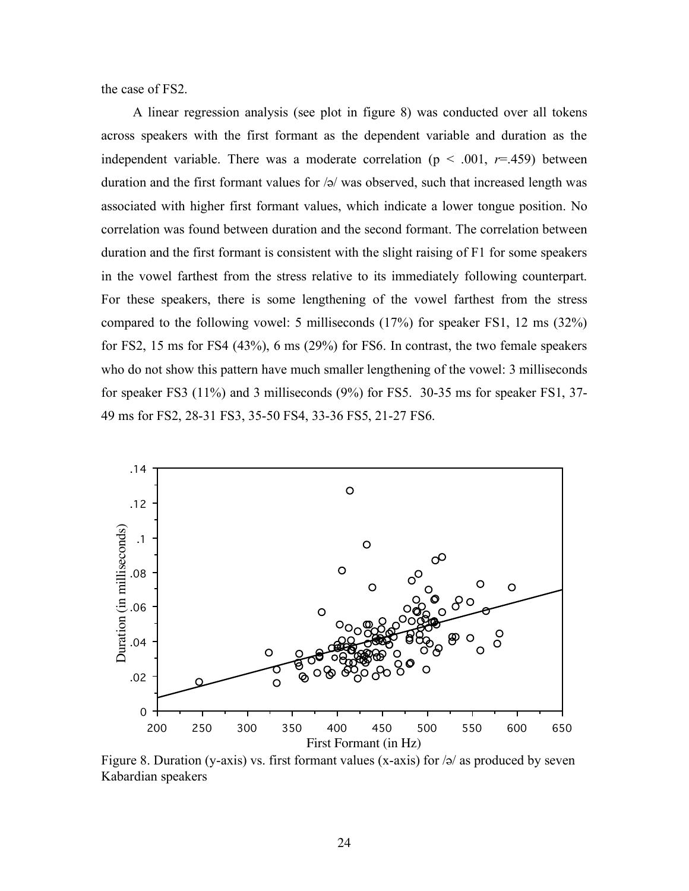the case of FS2.

A linear regression analysis (see plot in figure 8) was conducted over all tokens across speakers with the first formant as the dependent variable and duration as the independent variable. There was a moderate correlation ( $p < .001$ ,  $r = .459$ ) between duration and the first formant values for  $\sqrt{a}$  was observed, such that increased length was associated with higher first formant values, which indicate a lower tongue position. No correlation was found between duration and the second formant. The correlation between duration and the first formant is consistent with the slight raising of F1 for some speakers in the vowel farthest from the stress relative to its immediately following counterpart. For these speakers, there is some lengthening of the vowel farthest from the stress compared to the following vowel: 5 milliseconds (17%) for speaker FS1, 12 ms (32%) for FS2, 15 ms for FS4 (43%), 6 ms (29%) for FS6. In contrast, the two female speakers who do not show this pattern have much smaller lengthening of the vowel: 3 milliseconds for speaker FS3 (11%) and 3 milliseconds (9%) for FS5. 30-35 ms for speaker FS1, 37- 49 ms for FS2, 28-31 FS3, 35-50 FS4, 33-36 FS5, 21-27 FS6.



Figure 8. Duration (y-axis) vs. first formant values (x-axis) for  $\sqrt{2}$  as produced by seven Kabardian speakers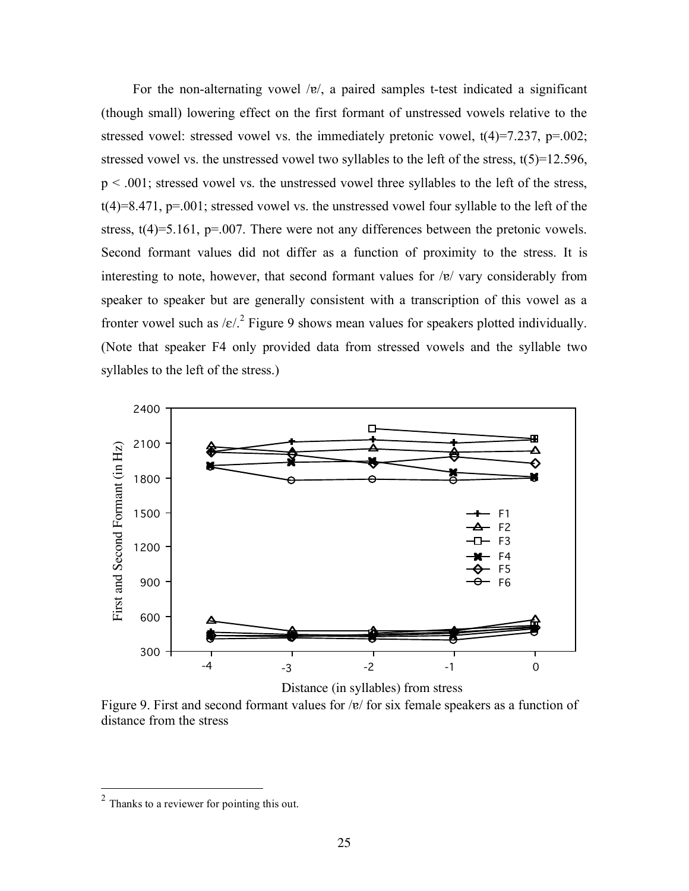For the non-alternating vowel  $/e$ , a paired samples t-test indicated a significant (though small) lowering effect on the first formant of unstressed vowels relative to the stressed vowel: stressed vowel vs. the immediately pretonic vowel,  $t(4)=7.237$ ,  $p=.002$ ; stressed vowel vs. the unstressed vowel two syllables to the left of the stress,  $t(5)=12.596$ , p < .001; stressed vowel vs. the unstressed vowel three syllables to the left of the stress,  $t(4)=8.471$ ,  $p=.001$ ; stressed vowel vs. the unstressed vowel four syllable to the left of the stress,  $t(4)=5.161$ ,  $p=.007$ . There were not any differences between the pretonic vowels. Second formant values did not differ as a function of proximity to the stress. It is interesting to note, however, that second formant values for  $\frac{1}{e}$  vary considerably from speaker to speaker but are generally consistent with a transcription of this vowel as a fronter vowel such as  $\sqrt{\epsilon}/.2$  Figure 9 shows mean values for speakers plotted individually. (Note that speaker F4 only provided data from stressed vowels and the syllable two syllables to the left of the stress.)



Distance (in syllables) from stress

Figure 9. First and second formant values for  $/e/$  for six female speakers as a function of distance from the stress

 <sup>2</sup> Thanks to <sup>a</sup> reviewer for pointing this out.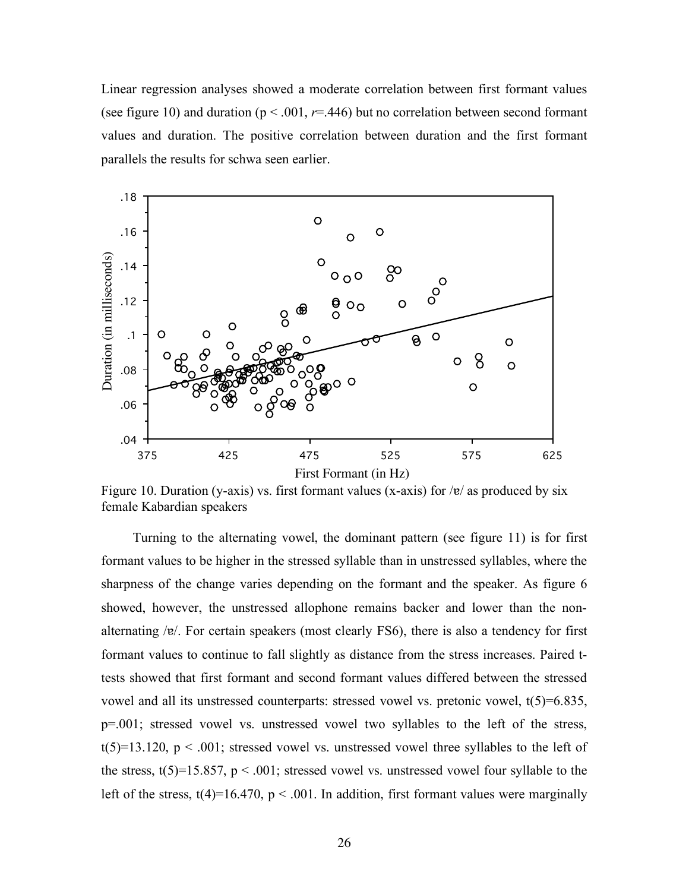Linear regression analyses showed a moderate correlation between first formant values (see figure 10) and duration ( $p < .001$ ,  $r = .446$ ) but no correlation between second formant values and duration. The positive correlation between duration and the first formant parallels the results for schwa seen earlier.



Figure 10. Duration (y-axis) vs. first formant values (x-axis) for  $/e$  as produced by six female Kabardian speakers

Turning to the alternating vowel, the dominant pattern (see figure 11) is for first formant values to be higher in the stressed syllable than in unstressed syllables, where the sharpness of the change varies depending on the formant and the speaker. As figure 6 showed, however, the unstressed allophone remains backer and lower than the nonalternating  $/e$ . For certain speakers (most clearly FS6), there is also a tendency for first formant values to continue to fall slightly as distance from the stress increases. Paired ttests showed that first formant and second formant values differed between the stressed vowel and all its unstressed counterparts: stressed vowel vs. pretonic vowel,  $t(5)=6.835$ , p=.001; stressed vowel vs. unstressed vowel two syllables to the left of the stress,  $t(5)=13.120$ ,  $p < .001$ ; stressed vowel vs. unstressed vowel three syllables to the left of the stress,  $t(5)=15.857$ ,  $p < .001$ ; stressed vowel vs. unstressed vowel four syllable to the left of the stress,  $t(4)=16.470$ ,  $p < .001$ . In addition, first formant values were marginally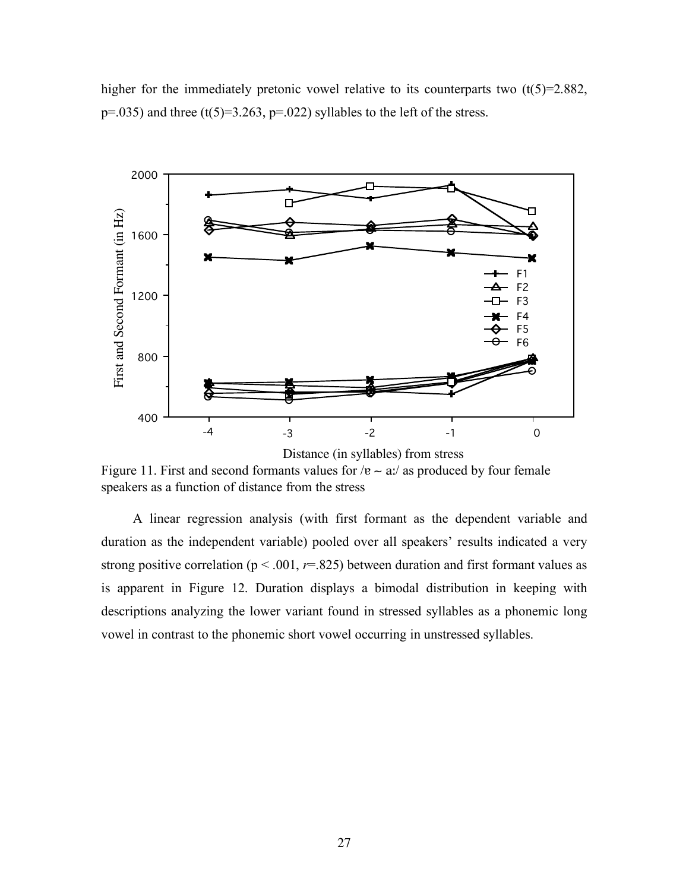higher for the immediately pretonic vowel relative to its counterparts two  $(t(5)=2.882)$ ,  $p=0.035$ ) and three (t(5)=3.263,  $p=.022$ ) syllables to the left of the stress.



Figure 11. First and second formants values for  $/e \sim a$ . as produced by four female speakers as a function of distance from the stress

A linear regression analysis (with first formant as the dependent variable and duration as the independent variable) pooled over all speakers' results indicated a very strong positive correlation ( $p < .001$ ,  $r = .825$ ) between duration and first formant values as is apparent in Figure 12. Duration displays a bimodal distribution in keeping with descriptions analyzing the lower variant found in stressed syllables as a phonemic long vowel in contrast to the phonemic short vowel occurring in unstressed syllables.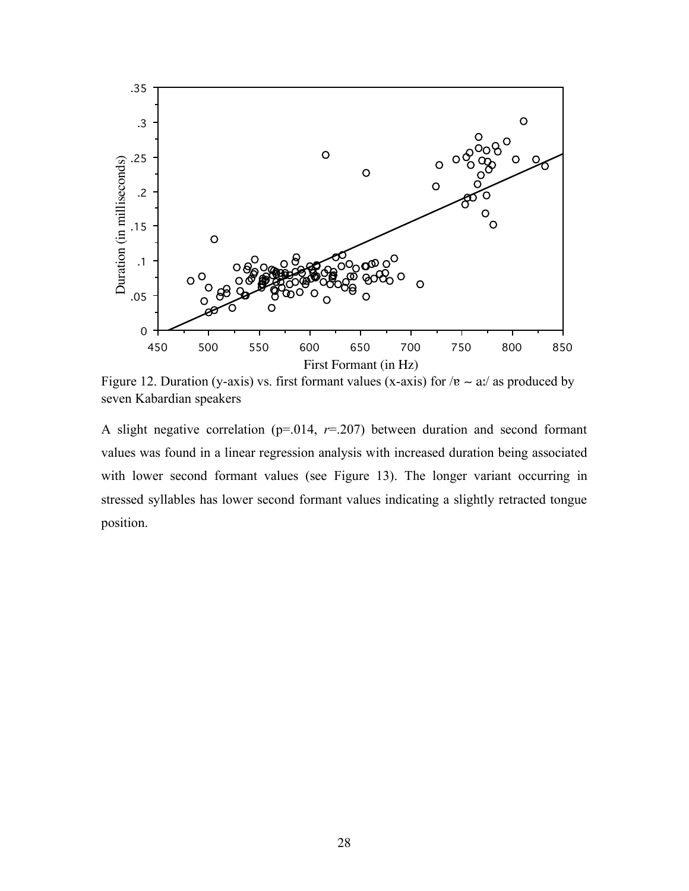

Figure 12. Duration (y-axis) vs. first formant values (x-axis) for  $/e \sim a$ :/ as produced by seven Kabardian speakers

0<br>
450 500 550 600<br>
First Form and 2<br>
12. Duration (y-axis) vs. first form ant v<br>
(abardian speakers<br>
the negative correlation (p=.014, r=.2<br>
was found in a linear regression analys<br>
wer second form ant values (see Figure A slight negative correlation  $(p=0.014, r=.207)$  between duration and second formant values was found in a linear regression analysis with increased duration being associated with lower second formant values (see Figure 13). The longer variant occurring in stressed syllables has lower second formant values indicating a slightly retracted tongue position.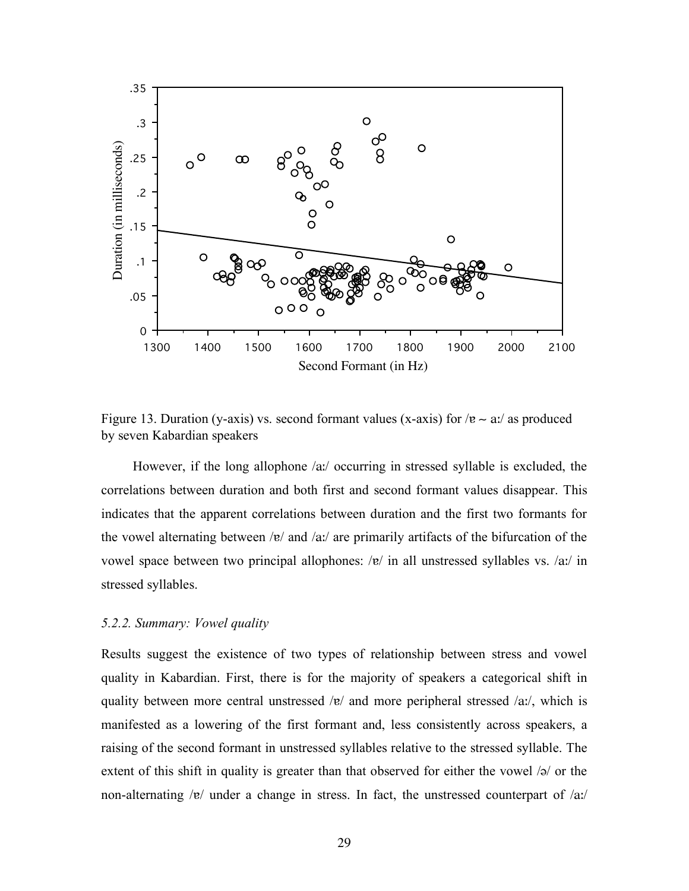

Figure 13. Duration (y-axis) vs. second formant values (x-axis) for  $/e \sim a$ . as produced by seven Kabardian speakers

However, if the long allophone /a:/ occurring in stressed syllable is excluded, the correlations between duration and both first and second formant values disappear. This indicates that the apparent correlations between duration and the first two formants for the vowel alternating between / $e$ / and /a:/ are primarily artifacts of the bifurcation of the vowel space between two principal allophones: / $e$ / in all unstressed syllables vs. /a:/ in stressed syllables.

## *5.2.2. Summary: Vowel quality*

Results suggest the existence of two types of relationship between stress and vowel quality in Kabardian. First, there is for the majority of speakers a categorical shift in quality between more central unstressed / $\mathbf{e}/\mathbf{a}$  and more peripheral stressed /a:/, which is manifested as a lowering of the first formant and, less consistently across speakers, a raising of the second formant in unstressed syllables relative to the stressed syllable. The extent of this shift in quality is greater than that observed for either the vowel  $\sqrt{a}$  or the non-alternating / $p$ / under a change in stress. In fact, the unstressed counterpart of /a:/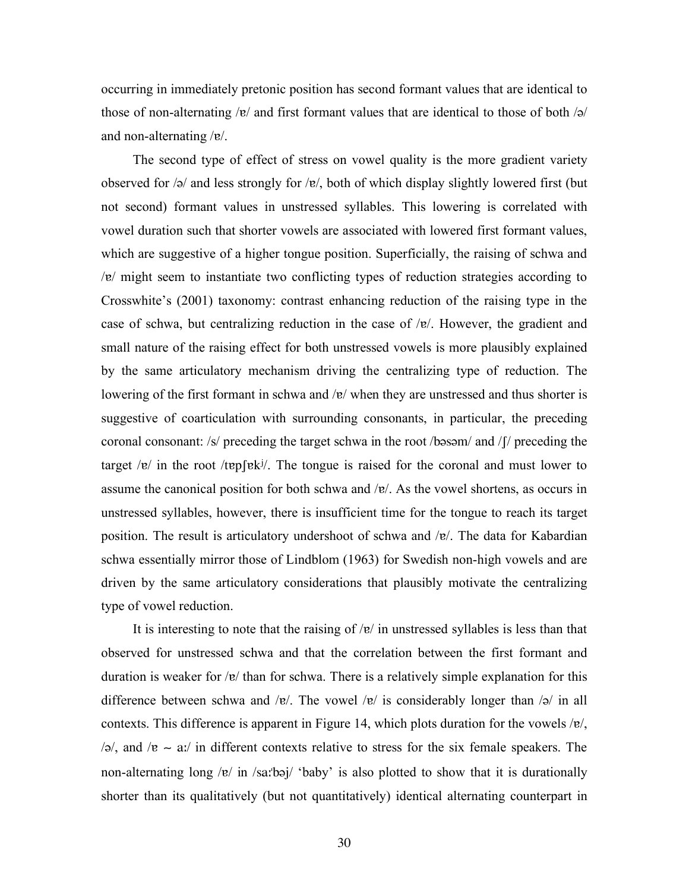occurring in immediately pretonic position has second formant values that are identical to those of non-alternating / $\mathbf{e}/$  and first formant values that are identical to those of both / $\mathbf{e}/$ and non-alternating  $/e$ .

The second type of effect of stress on vowel quality is the more gradient variety observed for  $\alpha/2$  and less strongly for  $\alpha/2$ , both of which display slightly lowered first (but not second) formant values in unstressed syllables. This lowering is correlated with vowel duration such that shorter vowels are associated with lowered first formant values, which are suggestive of a higher tongue position. Superficially, the raising of schwa and /å/ might seem to instantiate two conflicting types of reduction strategies according to Crosswhite's (2001) taxonomy: contrast enhancing reduction of the raising type in the case of schwa, but centralizing reduction in the case of  $\mathcal{E}/R$ . However, the gradient and small nature of the raising effect for both unstressed vowels is more plausibly explained by the same articulatory mechanism driving the centralizing type of reduction. The lowering of the first formant in schwa and  $/e$  when they are unstressed and thus shorter is suggestive of coarticulation with surrounding consonants, in particular, the preceding coronal consonant: /s/ preceding the target schwa in the root /b $\epsilon$ s $\sim$  /m/ and /f/ preceding the target / $\mathbf{e}$ / in the root /t $\mathbf{e}$ p[ $\mathbf{e}$ k<sup>j</sup>/. The tongue is raised for the coronal and must lower to assume the canonical position for both schwa and  $/e$ . As the vowel shortens, as occurs in unstressed syllables, however, there is insufficient time for the tongue to reach its target position. The result is articulatory undershoot of schwa and  $/e$ . The data for Kabardian schwa essentially mirror those of Lindblom (1963) for Swedish non-high vowels and are driven by the same articulatory considerations that plausibly motivate the centralizing type of vowel reduction.

It is interesting to note that the raising of / $e/$  in unstressed syllables is less than that observed for unstressed schwa and that the correlation between the first formant and duration is weaker for / $e$ / than for schwa. There is a relatively simple explanation for this difference between schwa and / $\mathbf{e}/$ . The vowel / $\mathbf{e}/$  is considerably longer than / $\mathbf{e}/$  in all contexts. This difference is apparent in Figure 14, which plots duration for the vowels  $/e$ ,  $/$ . and  $/$ e ∼ a:/ in different contexts relative to stress for the six female speakers. The non-alternating long / $\mathbf{e}/$  in /sa:'bəj/ 'baby' is also plotted to show that it is durationally shorter than its qualitatively (but not quantitatively) identical alternating counterpart in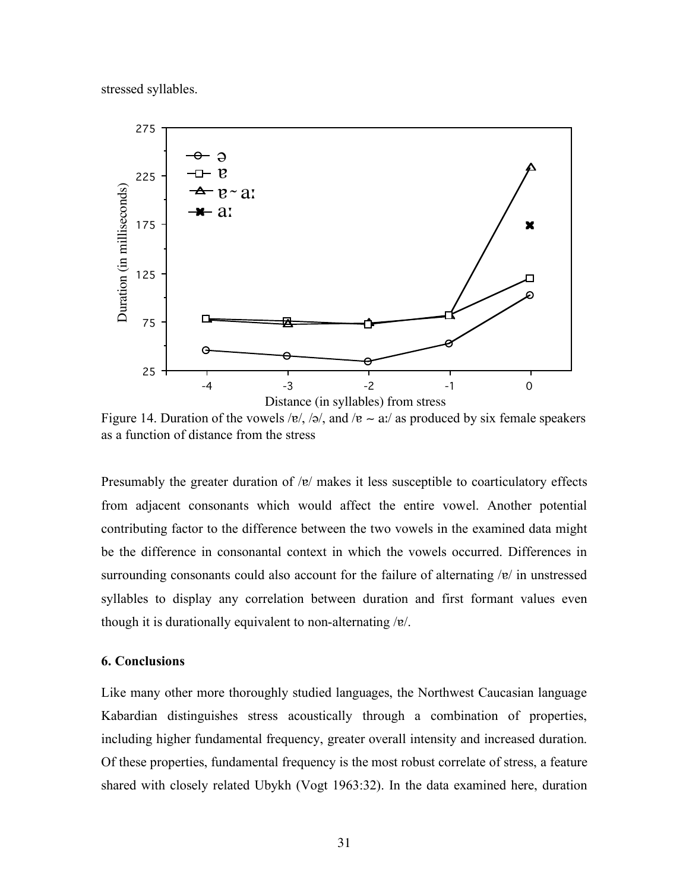

Figure 14. Duration of the vowels / $\mathbf{e}/\sqrt{2}$ , and / $\mathbf{e} \sim \mathbf{a}$ . as produced by six female speakers as a function of distance from the stress

Presumably the greater duration of  $/e$  makes it less susceptible to coarticulatory effects from adjacent consonants which would affect the entire vowel. Another potential contributing factor to the difference between the two vowels in the examined data might be the difference in consonantal context in which the vowels occurred. Differences in surrounding consonants could also account for the failure of alternating  $/e/$  in unstressed syllables to display any correlation between duration and first formant values even though it is durationally equivalent to non-alternating  $/e$ .

#### **6. Conclusions**

Like many other more thoroughly studied languages, the Northwest Caucasian language Kabardian distinguishes stress acoustically through a combination of properties, including higher fundamental frequency, greater overall intensity and increased duration. Of these properties, fundamental frequency is the most robust correlate of stress, a feature shared with closely related Ubykh (Vogt 1963:32). In the data examined here, duration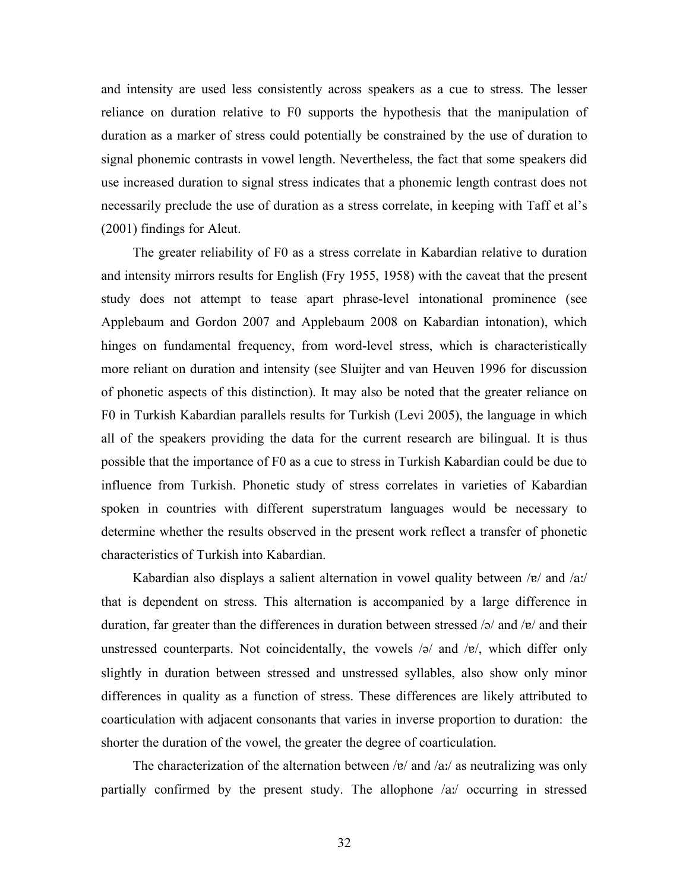and intensity are used less consistently across speakers as a cue to stress. The lesser reliance on duration relative to F0 supports the hypothesis that the manipulation of duration as a marker of stress could potentially be constrained by the use of duration to signal phonemic contrasts in vowel length. Nevertheless, the fact that some speakers did use increased duration to signal stress indicates that a phonemic length contrast does not necessarily preclude the use of duration as a stress correlate, in keeping with Taff et al's (2001) findings for Aleut.

The greater reliability of F0 as a stress correlate in Kabardian relative to duration and intensity mirrors results for English (Fry 1955, 1958) with the caveat that the present study does not attempt to tease apart phrase-level intonational prominence (see Applebaum and Gordon 2007 and Applebaum 2008 on Kabardian intonation), which hinges on fundamental frequency, from word-level stress, which is characteristically more reliant on duration and intensity (see Sluijter and van Heuven 1996 for discussion of phonetic aspects of this distinction). It may also be noted that the greater reliance on F0 in Turkish Kabardian parallels results for Turkish (Levi 2005), the language in which all of the speakers providing the data for the current research are bilingual. It is thus possible that the importance of F0 as a cue to stress in Turkish Kabardian could be due to influence from Turkish. Phonetic study of stress correlates in varieties of Kabardian spoken in countries with different superstratum languages would be necessary to determine whether the results observed in the present work reflect a transfer of phonetic characteristics of Turkish into Kabardian.

Kabardian also displays a salient alternation in vowel quality between / $e$ / and /a:/ that is dependent on stress. This alternation is accompanied by a large difference in duration, far greater than the differences in duration between stressed  $\sqrt{a}$  and  $\sqrt{e}$  and their unstressed counterparts. Not coincidentally, the vowels  $\alpha/2$  and  $\alpha/2$ , which differ only slightly in duration between stressed and unstressed syllables, also show only minor differences in quality as a function of stress. These differences are likely attributed to coarticulation with adjacent consonants that varies in inverse proportion to duration: the shorter the duration of the vowel, the greater the degree of coarticulation.

The characterization of the alternation between / $e$ / and /a:/ as neutralizing was only partially confirmed by the present study. The allophone /a:/ occurring in stressed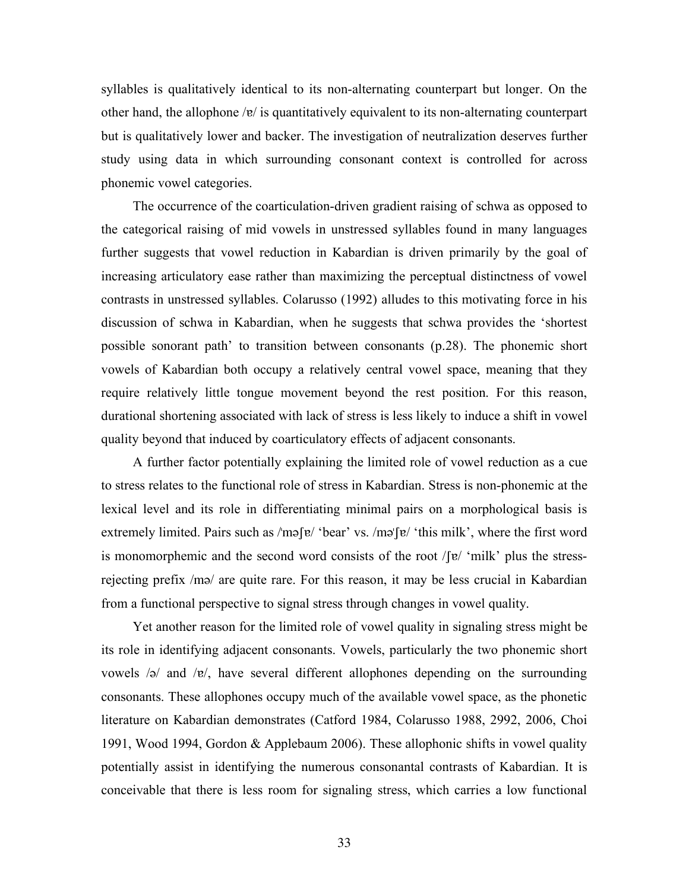syllables is qualitatively identical to its non-alternating counterpart but longer. On the other hand, the allophone / $e$ / is quantitatively equivalent to its non-alternating counterpart but is qualitatively lower and backer. The investigation of neutralization deserves further study using data in which surrounding consonant context is controlled for across phonemic vowel categories.

The occurrence of the coarticulation-driven gradient raising of schwa as opposed to the categorical raising of mid vowels in unstressed syllables found in many languages further suggests that vowel reduction in Kabardian is driven primarily by the goal of increasing articulatory ease rather than maximizing the perceptual distinctness of vowel contrasts in unstressed syllables. Colarusso (1992) alludes to this motivating force in his discussion of schwa in Kabardian, when he suggests that schwa provides the 'shortest possible sonorant path' to transition between consonants (p.28). The phonemic short vowels of Kabardian both occupy a relatively central vowel space, meaning that they require relatively little tongue movement beyond the rest position. For this reason, durational shortening associated with lack of stress is less likely to induce a shift in vowel quality beyond that induced by coarticulatory effects of adjacent consonants.

A further factor potentially explaining the limited role of vowel reduction as a cue to stress relates to the functional role of stress in Kabardian. Stress is non-phonemic at the lexical level and its role in differentiating minimal pairs on a morphological basis is extremely limited. Pairs such as  $\text{/}m\text{ə}$ [ $\text{e}/$  'bear' vs.  $\text{/}m\text{ə}$ [ $\text{e}/$  'this milk', where the first word is monomorphemic and the second word consists of the root  $/[{\bf e}/\ {\rm 'milk'}\ {\rm plus\ the\ stress-}$ rejecting prefix /m $\approx$  / are quite rare. For this reason, it may be less crucial in Kabardian from a functional perspective to signal stress through changes in vowel quality.

Yet another reason for the limited role of vowel quality in signaling stress might be its role in identifying adjacent consonants. Vowels, particularly the two phonemic short vowels  $\sqrt{a}$  and  $\sqrt{e}$ , have several different allophones depending on the surrounding consonants. These allophones occupy much of the available vowel space, as the phonetic literature on Kabardian demonstrates (Catford 1984, Colarusso 1988, 2992, 2006, Choi 1991, Wood 1994, Gordon & Applebaum 2006). These allophonic shifts in vowel quality potentially assist in identifying the numerous consonantal contrasts of Kabardian. It is conceivable that there is less room for signaling stress, which carries a low functional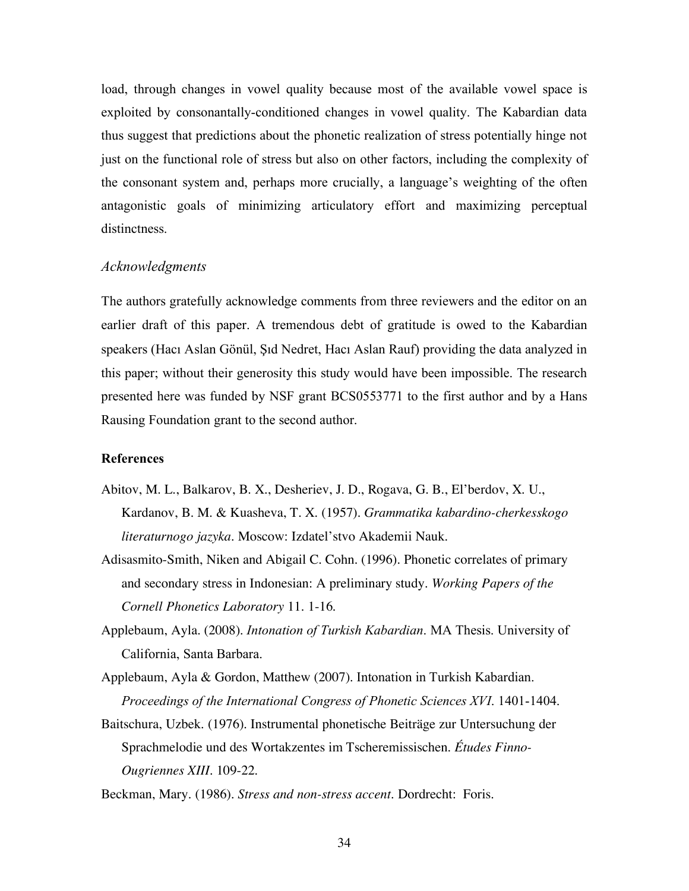load, through changes in vowel quality because most of the available vowel space is exploited by consonantally-conditioned changes in vowel quality. The Kabardian data thus suggest that predictions about the phonetic realization of stress potentially hinge not just on the functional role of stress but also on other factors, including the complexity of the consonant system and, perhaps more crucially, a language's weighting of the often antagonistic goals of minimizing articulatory effort and maximizing perceptual distinctness.

# *Acknowledgments*

The authors gratefully acknowledge comments from three reviewers and the editor on an earlier draft of this paper. A tremendous debt of gratitude is owed to the Kabardian speakers (Hacı Aslan Gönül, Şıd Nedret, Hacı Aslan Rauf) providing the data analyzed in this paper; without their generosity this study would have been impossible. The research presented here was funded by NSF grant BCS0553771 to the first author and by a Hans Rausing Foundation grant to the second author.

#### **References**

- Abitov, M. L., Balkarov, B. X., Desheriev, J. D., Rogava, G. B., El'berdov, X. U., Kardanov, B. M. & Kuasheva, T. X. (1957). *Grammatika kabardino-cherkesskogo literaturnogo jazyka*. Moscow: Izdatel'stvo Akademii Nauk.
- Adisasmito-Smith, Niken and Abigail C. Cohn. (1996). Phonetic correlates of primary and secondary stress in Indonesian: A preliminary study. *Working Papers of the Cornell Phonetics Laboratory* 11. 1-16.
- Applebaum, Ayla. (2008). *Intonation of Turkish Kabardian*. MA Thesis. University of California, Santa Barbara.
- Applebaum, Ayla & Gordon, Matthew (2007). Intonation in Turkish Kabardian. *Proceedings of the International Congress of Phonetic Sciences XVI*. 1401-1404.
- Baitschura, Uzbek. (1976). Instrumental phonetische Beiträge zur Untersuchung der Sprachmelodie und des Wortakzentes im Tscheremissischen. *Études Finno-Ougriennes XIII*. 109-22.
- Beckman, Mary. (1986). *Stress and non-stress accent*. Dordrecht: Foris.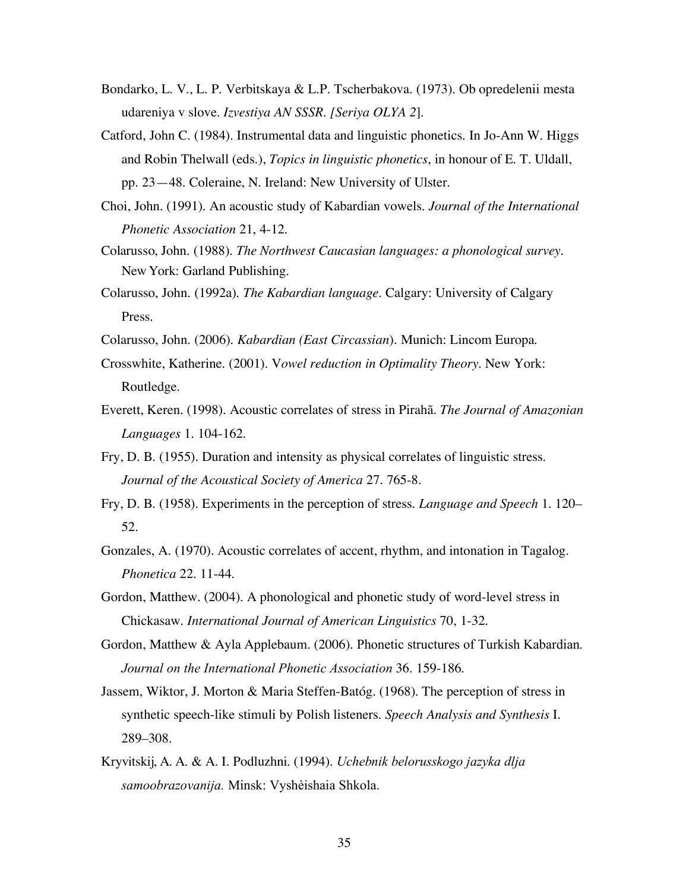- Bondarko, L. V., L. P. Verbitskaya & L.P. Tscherbakova. (1973). Ob opredelenii mesta udareniya v slove*. Izvestiya AN SSSR. [Seriya OLYA 2*].
- Catford, John C. (1984). Instrumental data and linguistic phonetics. In Jo-Ann W. Higgs and Robin Thelwall (eds.), *Topics in linguistic phonetics*, in honour of E. T. Uldall, pp. 23—48. Coleraine, N. Ireland: New University of Ulster.
- Choi, John. (1991). An acoustic study of Kabardian vowels. *Journal of the International Phonetic Association* 21, 4-12.
- Colarusso, John. (1988). *The Northwest Caucasian languages: a phonological survey*. New York: Garland Publishing.
- Colarusso, John. (1992a). *The Kabardian language*. Calgary: University of Calgary Press.
- Colarusso, John. (2006). *Kabardian (East Circassian*). Munich: Lincom Europa.
- Crosswhite, Katherine. (2001). V*owel reduction in Optimality Theory*. New York: Routledge.
- Everett, Keren. (1998). Acoustic correlates of stress in Pirahã. *The Journal of Amazonian Languages* 1. 104-162.
- Fry, D. B. (1955). Duration and intensity as physical correlates of linguistic stress. *Journal of the Acoustical Society of America* 27. 765-8.
- Fry, D. B. (1958). Experiments in the perception of stress. *Language and Speech* 1. 120– 52.
- Gonzales, A. (1970). Acoustic correlates of accent, rhythm, and intonation in Tagalog. *Phonetica* 22. 11-44.
- Gordon, Matthew. (2004). A phonological and phonetic study of word-level stress in Chickasaw. *International Journal of American Linguistics* 70, 1-32.
- Gordon, Matthew & Ayla Applebaum. (2006). Phonetic structures of Turkish Kabardian. *Journal on the International Phonetic Association* 36. 159-186.
- Jassem, Wiktor, J. Morton & Maria Steffen-Batóg. (1968). The perception of stress in synthetic speech-like stimuli by Polish listeners*. Speech Analysis and Synthesis* I. 289–308.
- Kryvitskij, A. A. & A. I. Podluzhni. (1994). *Uchebnik belorusskogo jazyka dlja samoobrazovanija.* Minsk: Vyshèishaia Shkola.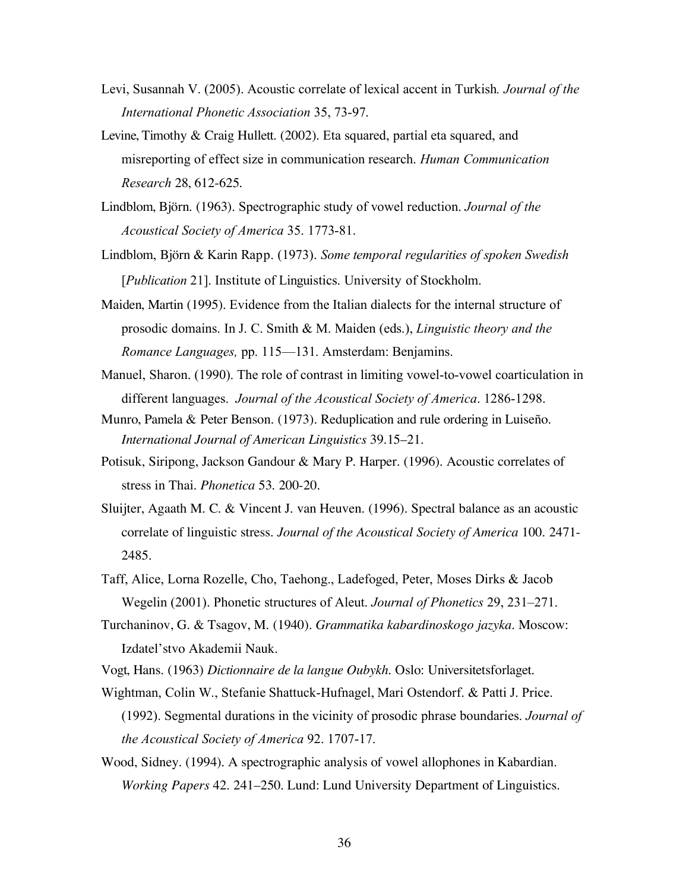- Levi, Susannah V. (2005). Acoustic correlate of lexical accent in Turkish*. Journal of the International Phonetic Association* 35, 73-97.
- Levine, Timothy & Craig Hullett. (2002). Eta squared, partial eta squared, and misreporting of effect size in communication research. *Human Communication Research* 28, 612-625.
- Lindblom, Björn. (1963). Spectrographic study of vowel reduction. *Journal of the Acoustical Society of America* 35. 1773-81.
- Lindblom, Björn & Karin Rapp. (1973). *Some temporal regularities of spoken Swedish*  [*Publication* 21]. Institute of Linguistics. University of Stockholm.
- Maiden, Martin (1995). Evidence from the Italian dialects for the internal structure of prosodic domains. In J. C. Smith & M. Maiden (eds.), *Linguistic theory and the Romance Languages,* pp. 115—131. Amsterdam: Benjamins.
- Manuel, Sharon. (1990). The role of contrast in limiting vowel-to-vowel coarticulation in different languages. *Journal of the Acoustical Society of America*. 1286-1298.
- Munro, Pamela & Peter Benson. (1973). Reduplication and rule ordering in Luiseño. *International Journal of American Linguistics* 39.15–21.
- Potisuk, Siripong, Jackson Gandour & Mary P. Harper. (1996). Acoustic correlates of stress in Thai. *Phonetica* 53. 200-20.
- Sluijter, Agaath M. C. & Vincent J. van Heuven. (1996). Spectral balance as an acoustic correlate of linguistic stress. *Journal of the Acoustical Society of America* 100. 2471- 2485.
- Taff, Alice, Lorna Rozelle, Cho, Taehong., Ladefoged, Peter, Moses Dirks & Jacob Wegelin (2001). Phonetic structures of Aleut. *Journal of Phonetics* 29, 231–271.
- Turchaninov, G. & Tsagov, M. (1940). *Grammatika kabardinoskogo jazyka*. Moscow: Izdatel'stvo Akademii Nauk.
- Vogt, Hans. (1963) *Dictionnaire de la langue Oubykh*. Oslo: Universitetsforlaget.
- Wightman, Colin W., Stefanie Shattuck-Hufnagel, Mari Ostendorf. & Patti J. Price. (1992). Segmental durations in the vicinity of prosodic phrase boundaries. *Journal of the Acoustical Society of America* 92. 1707-17.
- Wood, Sidney. (1994). A spectrographic analysis of vowel allophones in Kabardian. *Working Papers* 42. 241–250. Lund: Lund University Department of Linguistics.